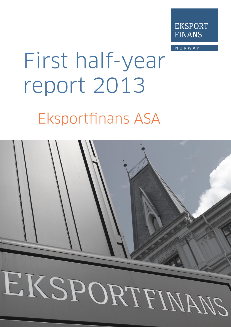

NORWAY

# First half-year report 2013 **Eksportfinans ASA**

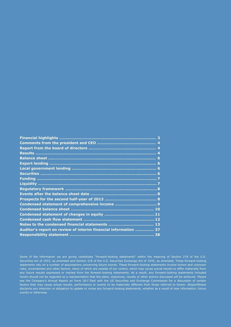| Auditor's report on review of interim financial information  37 |  |
|-----------------------------------------------------------------|--|
|                                                                 |  |
|                                                                 |  |

Some of the information we are giving constitutes "forward-looking statements" within the meaning of Section 27A of the U.S. Securities Act of 1933, as amended and Section 21E of the U.S. Securities Exchange Act of 1934, as amended. These forward-looking statements rely on a number of assumptions concerning future events. These forward-looking statements involve known and unknown risks, uncertainties and other factors, many of which are outside of our control, which may cause actual results to differ materially from any future results expressed or implied from the forward-looking statements. As a result, any forward-looking statements included herein should not be regarded as a representation that the plans, objectives, results or other actions discussed will be achieved. Please see the Company's Annual Report on Form 20-f filed with the US Securities and Exchange Commission for a discussion of certain factors that may cause actual results, performance or events to be materially different from those referred to herein. Eksportfinans disclaims any intention or obligation to update or revise any forward-looking statements, whether as a result of new information, future events or otherwise.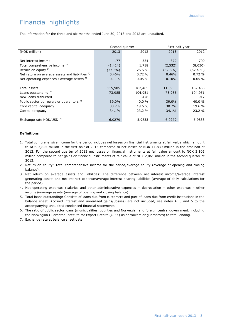# Financial highlights

The information for the three and six months ended June 30, 2013 and 2012 are unaudited.

|                                                     | Second quarter |           | First half-year |          |  |
|-----------------------------------------------------|----------------|-----------|-----------------|----------|--|
| (NOK million)                                       | 2013           | 2012      | 2013            | 2012     |  |
|                                                     |                |           |                 |          |  |
| Net interest income                                 | 177            | 334       | 379             | 709      |  |
| Total comprehensive income 1)                       | (1, 414)       | 1,718     | (2, 532)        | (8,030)  |  |
| Return on equity $2$ )                              | $(37.5\%)$     | 26.6 %    | $(32.3\%)$      | (52.4 %) |  |
| Net return on average assets and liabilities 3)     | 0.46%          | 0.72%     | 0.46%           | 0.72%    |  |
| Net operating expenses / average assets $4$ )       | 0.11%          | $0.05 \%$ | 0.10%           | 0.05%    |  |
|                                                     |                |           |                 |          |  |
| Total assets                                        | 115,905        | 182,465   | 115,905         | 182,465  |  |
| Loans outstanding 5)                                | 73,985         | 104,951   | 73,985          | 104,951  |  |
| New loans disbursed                                 |                | 476       |                 | 917      |  |
| Public sector borrowers or guarantors <sup>6)</sup> | 39.0%          | 40.0 %    | 39.0%           | 40.0 %   |  |
| Core capital adequacy                               | 30.7%          | 19.6 %    | 30.7%           | 19.6 %   |  |
| Capital adequacy                                    | 34.1%          | 23.2 %    | 34.1%           | 23.2 %   |  |
|                                                     |                |           |                 |          |  |
| Exchange rate NOK/USD <sup>7)</sup>                 | 6.0279         | 5.9833    | 6.0279          | 5.9833   |  |

#### **Definitions**

- 1.Total comprehensive income for the period includes net losses on financial instruments at fair value which amount to NOK 3,825 million in the first half of 2013 compared to net losses of NOK 11,839 million in the first half of 2012. For the second quarter of 2013 net losses on financial instruments at fair value amount to NOK 2,106 million compared to net gains on financial instruments at fair value of NOK 2,061 million in the second quarter of 2012.
- 2. Return on equity: Total comprehensive income for the period/average equity (average of opening and closing balance).
- 3. Net return on average assets and liabilities: The difference between net interest income/average interest generating assets and net interest expense/average interest bearing liabilities (average of daily calculations for the period).
- 4. Net operating expenses (salaries and other administrative expenses + depreciation + other expenses other income)/average assets (average of opening and closing balance).
- 5. Total loans outstanding: Consists of loans due from customers and part of loans due from credit institutions in the balance sheet. Accrued interest and unrealized gains/(losses) are not included, see notes 4, 5 and 6 to the accompanying unaudited condensed financial statements.
- 6. The ratio of public sector loans (municipalities, counties and Norwegian and foreign central government, including the Norwegian Guarantee Institute for Export Credits (GIEK) as borrowers or guarantors) to total lending.
- 7. Exchange rate at balance sheet date.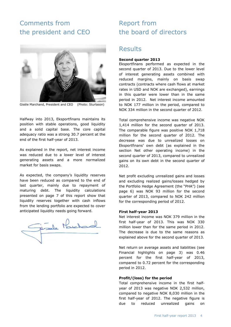# Comments from the president and CEO



Gisèle Marchand, President and CEO (Photo: Sturlason)

Halfway into 2013, Eksportfinans maintains its position with stable operations, good liquidity and a solid capital base. The core capital adequacy ratio was a strong 30.7 percent at the end of the first half-year of 2013.

As explained in the report, net interest income was reduced due to a lower level of interest generating assets and a more normalized market for basis swaps.

As expected, the company's liquidity reserves have been reduced as compared to the end of last quarter, mainly due to repayment of maturing debt. The liquidity calculations presented on page 7 of this report show that liquidity reserves together with cash inflows from the lending portfolio are expected to cover anticipated liquidity needs going forward.

# Report from the board of directors

### **Results**

#### **Second quarter 2013**

Eksportfinans performed as expected in the second quarter of 2013. Due to the lower level of interest generating assets combined with reduced margins, mainly on basis swap contracts (contracts where cash flows at market rates in USD and NOK are exchanged), earnings in this quarter were lower than in the same period in 2012. Net interest income amounted to NOK 177 million in the period, compared to NOK 334 million in the second quarter of 2012.

Total comprehensive income was negative NOK 1,414 million for the second quarter of 2013. The comparable figure was positive NOK 1,718 million for the second quarter of 2012. The decrease was due to unrealized losses on Eksportfinans' own debt (as explained in the section Net other operating income) in the second quarter of 2013, compared to unrealized gains on its own debt in the second quarter of 2012.

Net profit excluding unrealized gains and losses and excluding realized gains/losses hedged by the Portfolio Hedge Agreement (the "PHA") (see page 6) was NOK 93 million for the second quarter of 2013, compared to NOK 242 million for the corresponding period of 2012.

#### **First half-year 2013**

Net interest income was NOK 379 million in the first half-year of 2013. This was NOK 330 million lower than for the same period in 2012. The decrease is due to the same reasons as explained above for the second quarter of 2013.

Net return on average assets and liabilities (see Financial highlights on page 3) was 0.46 percent for the first half-year of 2013, compared to 0.72 percent for the corresponding period in 2012.

#### **Profit/(loss) for the period**

Total comprehensive income in the first halfyear of 2013 was negative NOK 2,532 million, compared to negative NOK 8,030 million in the first half-year of 2012. The negative figure is due to reduced unrealized gains on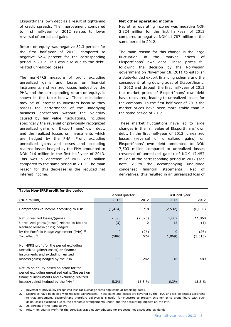Eksportfinans' own debt as a result of tightening of credit spreads. The improvement compared to first half-year of 2012 relates to lower reversal of unrealized gains.

Return on equity was negative 32.3 percent for the first half-year of 2013, compared to negative 52.4 percent for the corresponding period in 2012. This was also due to the debtrelated unrealized losses.

The non-IFRS measure of profit excluding unrealized gains and losses on financial instruments and realized losses hedged by the PHA, and the corresponding return on equity, is shown in the table below. These calculations may be of interest to investors because they assess the performance of the underlying business operations without the volatility caused by fair value fluctuations, including specifically the reversal of previously recognized unrealized gains on Eksportfinans' own debt, and the realized losses on investments which are hedged by the PHA. Profit excluding unrealized gains and losses and excluding realized losses hedged by the PHA amounted to NOK 216 million in the first half-year of 2013. This was a decrease of NOK 273 million compared to the same period in 2012. The main reason for this decrease is the reduced net interest income.

**Table: Non-IFRS profit for the period**

#### **Net other operating income**

Net other operating income was negative NOK 3,824 million for the first half-year of 2013 compared to negative NOK 11,787 million in the same period in 2012.

The main reason for this change is the large fluctuation in the market prices of Eksportfinans' own debt. These prices fell following the decision by the Norwegian government on November 18, 2011 to establish a state-funded export financing scheme and the consequent rating downgrades of Eksportfinans. In 2012 and through the first half-year of 2013 the market prices of Eksportfinans' own debt have recovered, leading to unrealized losses for the company. In the first half-year of 2013 the market prices have been more stable than in the same period of 2012.

These market fluctuations have led to large changes in the fair value of Eksportfinans' own debt. In the first half-year of 2013, unrealized losses (reversal of unrealized gains) on Eksportfinans' own debt amounted to NOK 7,503 million compared to unrealized losses (reversal of unrealized gains) of NOK 17,457 million in the corresponding period in 2012 (see note 2 to the accompanying unaudited condensed financial statements). Net of derivatives, this resulted in an unrealized loss of

|                                                                                                                                                              | Second quarter |              | First half-year |                  |  |
|--------------------------------------------------------------------------------------------------------------------------------------------------------------|----------------|--------------|-----------------|------------------|--|
| (NOK million)                                                                                                                                                | 2013           | 2012         | 2013            | 2012             |  |
| Comprehensive income according to IFRS                                                                                                                       | (1, 414)       | 1,718        | (2, 532)        | (8,030)          |  |
| Net unrealized losses/(gains)<br>Unrealized gains/(losses) related to Iceland $^{1}$<br>Realized losses/(gains) hedged                                       | 2,095<br>(3)   | (2,026)<br>2 | 3,802<br>15     | 11,860<br>(1)    |  |
| by the Portfolio Hedge Agreement (PHA) <sup>2)</sup><br>Tax effect $3)$                                                                                      | 0<br>(586)     | (26)<br>574  | 0<br>(1,069)    | (26)<br>(3, 313) |  |
| Non-IFRS profit for the period excluding<br>unrealized gains/(losses) on financial<br>instruments and excluding realized<br>losses/(gains) hedged by the PHA | 93             | 242          | 216             | 489              |  |
|                                                                                                                                                              |                |              |                 |                  |  |
| Return on equity based on profit for the<br>period excluding unrealized gains/(losses) on<br>financial instruments and excluding realized                    |                |              |                 |                  |  |
| losses/(gains) hedged by the PHA $4$ )                                                                                                                       | 5.3%           | 15.3 %       | 6.3%            | 15.8 %           |  |

1. Reversal of previously recognized loss (at exchange rates applicable at reporting date).

2. Securities have been sold with realized gains/losses. These gains and losses are covered by the PHA, and will be settled according to that agreement. Eksportfinans therefore believes it is useful for investors to present this non-IFRS profit figure with such gains/losses excluded due to the economic arrangements under, and the accounting impacts of, the PHA.

3. 28 percent of the items above.

4. Return on equity: Profit for the period/average equity adjusted for proposed not distributed dividends.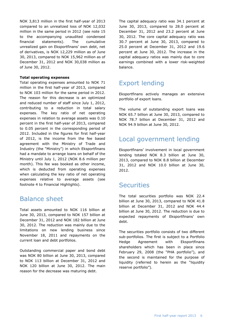NOK 3,813 million in the first half-year of 2013 compared to an unrealized loss of NOK 12,032 million in the same period in 2012 (see note 15 to the accompanying unaudited condensed financial statements). The cumulative unrealized gain on Eksportfinans' own debt, net of derivatives, is NOK 12,229 million as of June 30, 2013, compared to NOK 15,962 million as of December 31, 2012 and NOK 30,038 million as of June 30, 2012.

#### **Total operating expenses**

Total operating expenses amounted to NOK 71 million in the first half-year of 2013, compared to NOK 103 million for the same period in 2012. The reason for this decrease is an optimized and reduced number of staff since July 1, 2012, contributing to a reduction in total salary expenses. The key ratio of net operating expenses in relation to average assets was 0.10 percent in the first half-year of 2013, compared to 0.05 percent in the corresponding period of 2012. Included in the figures for first half-year of 2012, is the income from the fee based agreement with the Ministry of Trade and Industry (the "Ministry") in which Eksportfinans had a mandate to arrange loans on behalf of the Ministry until July 1, 2012 (NOK 8.6 million per month). This fee was booked as other income, which is deducted from operating expenses when calculating the key ratio of net operating expenses relative to average assets (see footnote 4 to Financial Highlights).

# Balance sheet

Total assets amounted to NOK 116 billion at June 30, 2013, compared to NOK 157 billion at December 31, 2012 and NOK 182 billion at June 30, 2012. The reduction was mainly due to the limitations on new lending business since November 18, 2011 and repayments on the current loan and debt portfolios.

Outstanding commercial paper and bond debt was NOK 80 billion at June 30, 2013, compared to NOK 113 billion at December 31, 2012 and NOK 120 billion at June 30, 2012. The main reason for the decrease was maturing debt.

The capital adequacy ratio was 34.1 percent at June 30, 2013, compared to 28.0 percent at December 31, 2012 and 23.2 percent at June 30, 2012. The core capital adequacy ratio was 30.7 percent at June 30, 2013, compared to 25.0 percent at December 31, 2012 and 19.6 percent at June 30, 2012. The increase in the capital adequacy ratios was mainly due to core earnings combined with a lower risk-weighted balance.

# Export lending

Eksportfinans actively manages an extensive portfolio of export loans.

The volume of outstanding export loans was NOK 65.7 billion at June 30, 2013, compared to NOK 78.7 billion at December 31, 2012 and NOK 94.9 billion at June 30, 2012.

# Local government lending

Eksportfinans' involvement in local government lending totaled NOK 8.3 billion at June 30, 2013, compared to NOK 8.8 billion at December 31, 2012 and NOK 10.0 billion at June 30, 2012.

# **Securities**

The total securities portfolio was NOK 22.4 billion at June 30, 2013, compared to NOK 41.8 billion at December 31, 2012 and NOK 44.4 billion at June 30, 2012. The reduction is due to expected repayments of Eksportfinans' own debt.

The securities portfolio consists of two different sub-portfolios. The first is subject to a Portfolio Hedge Agreement with Eksportfinans shareholders which has been in place since February 29, 2008 (the "PHA portfolio"), and the second is maintained for the purpose of liquidity (referred to herein as the "liquidity reserve portfolio").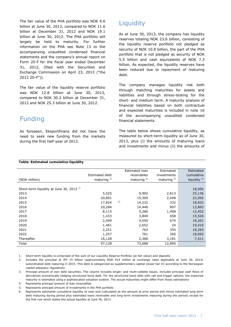The fair value of the PHA portfolio was NOK 9.6 billion at June 30, 2013, compared to NOK 11.6 billion at December 31, 2012 and NOK 19.1 billion at June 30, 2012. The PHA portfolio will largely be held to maturity. For further information on the PHA see Note 13 to the accompanying unaudited condensed financial statements and the company's annual report on Form 20-F for the fiscal year ended December 31, 2012, (filed with the Securities and Exchange Commission on April 23, 2013 ("the 2012 20-F")).

The fair value of the liquidity reserve portfolio was NOK 12.8 billion at June 30, 2013, compared to NOK 30.2 billion at December 31, 2012 and NOK 25.3 billion at June 30, 2012.

# Funding

As foreseen, Eksportfinans did not have the need to seek new funding from the markets during the first half-year of 2013.

# **Liquidity**

As at June 30, 2013, the company has liquidity reserves totaling NOK 23.6 billion, consisting of the liquidity reserve portfolio not pledged as security of NOK 10.8 billion, the part of the PHA portfolio that is not pledged as security of NOK 5.5 billion and cash equivalents of NOK 7.3 billion. As expected, the liquidity reserves have been reduced due to repayment of maturing debt.

The company manages liquidity risk both through matching maturities for assets and liabilities and through stress-testing for the short- and medium term. A maturity analysis of financial liabilities based on both contractual and expected maturities is included in note 16 of the accompanying unaudited condensed financial statements.

The table below shows cumulative liquidity, as measured by short-term liquidity as of June 30, 2013, plus (i) the amounts of maturing loans and investments and minus (ii) the amounts of

|                                                     |                |    | Estimated loan | Estimated    | Estimated               |
|-----------------------------------------------------|----------------|----|----------------|--------------|-------------------------|
|                                                     | Estimated debt |    | receivables    | investments  | cumulative              |
| (NOK million)                                       | maturing $3)$  |    | maturing $4$ ) | maturing $5$ | liquidity <sup>6)</sup> |
|                                                     |                |    |                |              |                         |
| Short-term liquidity at June 30, 2013 <sup>1)</sup> |                |    |                |              | 18,056                  |
| 2013                                                | 5,525          |    | 9,992          | 2,613        | 25,136                  |
| 2014                                                | 20,801         |    | 15,309         | 2,448        | 22,092                  |
| 2015                                                | 17,824         | 2) | 14,232         | 332          | 18,832                  |
| 2016                                                | 20,284         |    | 14,448         | 897          | 13,893                  |
| 2017                                                | 8,115          |    | 5,266          | 1,408        | 12,452                  |
| 2018                                                | 1,433          |    | 3,849          | 658          | 15,526                  |
| 2019                                                | 2,049          |    | 4,050          | 674          | 18,201                  |
| 2020                                                | 1,461          |    | 2,652          | 24           | 19,416                  |
| 2021                                                | 2,251          |    | 763            | 355          | 18,283                  |
| 2022                                                | 1,257          |    | 761            | 305          | 18,092                  |
| Thereafter                                          | 16,128         |    | 2,366          | 3,181        | 7,511                   |
| Total                                               | 97,128         |    | 73,688         | 12,895       |                         |

#### **Table: Estimated cumulative liquidity**

1. Short-term liquidity is comprised of the sum of our Liquidity Reserve Portfolio (at fair value) and deposits

- 2. Includes the principal of JPY 15 billion (approximately NOK 914 million at exchange rates applicable at June 30, 2013) subordinated debt maturing in 2015. This debt is categorized as supplementary capital (lower tier II) according to the Norwegian capital adequacy regulations
- 3. Principal amount of own debt securities. The column includes single- and multi-callable issues. Includes principal cash flows of derivatives economically hedging structured bond debt. For the structured bond debt with call and trigger options, the expected maturity is estimated using a sophisticated valuation system. The actual maturities might differ from these estimations
- 4. Represents principal amount of loan receivables
- 5. Represents principal amount of investments in the PHA portfolio
- 6. Represents estimated cumulative liquidity at year-end (calculated as the amount at prior period end minus estimated long-term debt maturing during period plus estimated loans receivable and long-term investments maturing during the period) except for the first row which states the actual liquidity at June 30, 2013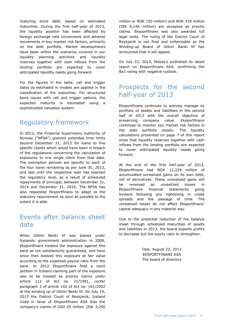maturing bond debt, based on estimated maturities. During the first half-year of 2013, the liquidity position has been affected by foreign exchange rate conversions and adverse movements in key market risk factors, primarily on the debt portfolio. Market developments have been within the scenarios covered in our liquidity planning activities and liquidity reserves together with cash inflows from the lending portfolio are expected to cover anticipated liquidity needs going forward.

For the figures in the table, call and trigger dates as estimated in models are applied in the classification of the maturities. For structured bond issues with call and trigger options, the expected maturity is estimated using a sophisticated valuation system.

# Regulatory framework

In 2012, the Financial Supervisory Authority of Norway ("NFSA") granted extended time limits beyond December 31, 2012 for loans to five specific clients which would have been in breach of the regulations concerning the calculation of exposures to one single client from that date. The exemption periods are specific to each of the four loans remaining as per June 30, 2013, and last until the respective loan has reached the regulatory level, as a result of scheduled repayments of principal, between December 31, 2014 and December 31, 2016. The NFSA has also requested Eksportfinans to adapt to the statutory requirement as soon as possible to the extent it is able.

# Events after balance sheet date

When Glitnir Banki hf was placed under Icelandic government administration in 2008, Eksportfinans treated the exposure against this bank as not satisfactorily guaranteed, and have since then booked this exposure at fair value according to the expected payout ratio from the bank. In 2012 Eksportfinans filed a court petition in Iceland claiming part of the exposure was to be treated as priority claims under article 112 of Act no. 21/1991, confer paragraph 3 of article 102 of Act no. 161/2002 at the winding up of Glitnir Banki hf. On July 19, 2013 the District Court of Reykjavik, Iceland ruled in favor of Eksportfinans ASA that the company's claims of USD 25 million (ISK 3,256

million or NOK 150 million) and NOK 318 million (ISK 6,144 million) are accepted as priority claims. Eksportfinans was also awarded full legal costs. The ruling of the District Court of Reykjavik is not final and enforceable as the Winding-up Board of Glitnir Banki hf has announced that it will appeal.

On July 23, 2013, Moody's published its latest report on Eksportfinans ASA, confirming the Ba3 rating with negative outlook.

# Prospects for the second half-year of 2013

Eksportfinans continues to actively manage its portfolio of assets and liabilities in the second half of 2013 with the overall objective of preserving company value. Eksportfinans continues to monitor key market risk factors in the debt portfolio closely. The liquidity calculations presented on page 7 of this report show that liquidity reserves together with cash inflows from the lending portfolio are expected to cover anticipated liquidity needs going forward.

At the end of the first half-year of 2013, Eksportfinans had NOK 12,229 million of accumulated unrealized gains on its own debt, net of derivatives. These unrealized gains will be reversed as unrealized losses in Eksportfinans financial statements going forward following any tightening in credit spreads and the passage of time. The unrealized losses do not affect Eksportfinans' capital adequacy in any material way.

Due to the predicted reduction of the balance sheet through scheduled maturities of assets and liabilities in 2013, the board expects profits to decrease but the equity ratio to strengthen.

> Oslo, August 22, 2013 EKSPORTFINANS ASA The board of directors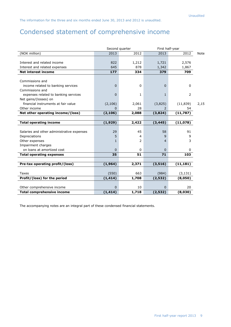# Condensed statement of comprehensive income

|                                            | Second quarter |                | First half-year |           |             |
|--------------------------------------------|----------------|----------------|-----------------|-----------|-------------|
| (NOK million)                              | 2013           | 2012           | 2013            | 2012      | <b>Note</b> |
|                                            |                |                |                 |           |             |
| Interest and related income                | 822            | 1,212          | 1,721           | 2,576     |             |
| Interest and related expenses              | 645            | 878            | 1,342           | 1,867     |             |
| <b>Net interest income</b>                 | 177            | 334            | 379             | 709       |             |
|                                            |                |                |                 |           |             |
| Commissions and                            |                |                |                 |           |             |
| income related to banking services         | $\mathbf 0$    | $\mathbf 0$    | $\Omega$        | 0         |             |
| Commissions and                            |                |                |                 |           |             |
| expenses related to banking services       | $\mathbf 0$    | 1              | $\mathbf{1}$    | 2         |             |
| Net gains/(losses) on                      |                |                |                 |           |             |
| financial instruments at fair value        | (2, 106)       | 2,061          | (3,825)         | (11, 839) | 2,15        |
| Other income                               | $\Omega$       | 28             | $\mathcal{P}$   | 54        |             |
| Net other operating income/(loss)          | (2, 106)       | 2,088          | (3,824)         | (11, 787) |             |
|                                            |                |                |                 |           |             |
| <b>Total operating income</b>              | (1,929)        | 2,422          | (3, 445)        | (11,078)  |             |
|                                            |                |                |                 |           |             |
| Salaries and other administrative expenses | 29             | 45             | 58              | 91        |             |
| Depreciations                              | 5              | 4              | 9               | 9         |             |
| Other expenses                             | 1              | $\overline{2}$ | 4               | 3         |             |
| Impairment charges                         |                |                |                 |           |             |
| on loans at amortized cost                 | $\Omega$       | $\mathbf 0$    | $\Omega$        | 0         |             |
| <b>Total operating expenses</b>            | 35             | 51             | 71              | 103       |             |
|                                            |                |                |                 |           |             |
| Pre-tax operating profit/(loss)            | (1,964)        | 2,371          | (3, 516)        | (11, 181) |             |
|                                            |                |                |                 |           |             |
| Taxes                                      | (550)          | 663            | (984)           | (3, 131)  |             |
| Profit/(loss) for the period               | (1, 414)       | 1,708          | (2, 532)        | (8,050)   |             |
|                                            |                |                |                 |           |             |
| Other comprehensive income                 | $\mathbf 0$    | 10             | $\Omega$        | 20        |             |
| <b>Total comprehensive income</b>          | (1, 414)       |                |                 | (8,030)   |             |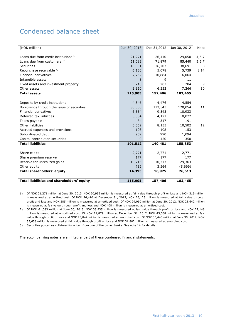# Condensed balance sheet

| (NOK million)                              | Jun 30, 2013 | Dec 31,2012 | Jun 30, 2012 | <b>Note</b> |
|--------------------------------------------|--------------|-------------|--------------|-------------|
|                                            |              |             |              |             |
| Loans due from credit institutions 1)      | 21,271       | 26,410      | 29,050       | 4,6,7       |
| Loans due from customers <sup>2)</sup>     | 61,083       | 71,879      | 85,440       | 5,6,7       |
| <b>Securities</b>                          | 16,301       | 36,707      | 38,691       | 8           |
| Repurchase receivable 3)                   | 6,130        | 5,078       | 5,739        | 8,14        |
| Financial derivatives                      | 7,752        | 10,884      | 16,064       |             |
| Intangible assets                          | 8            | 9           | 11           |             |
| Fixed assets and investment property       | 210          | 207         | 204          | 9           |
| Other assets                               | 3,150        | 6,232       | 7,266        | 10          |
| <b>Total assets</b>                        | 115,905      | 157,406     | 182,465      |             |
|                                            |              |             |              |             |
| Deposits by credit institutions            | 4,846        | 4,476       | 4,554        |             |
| Borrowings through the issue of securities | 80,350       | 112,543     | 120,054      | 11          |
| <b>Financial derivatives</b>               | 6,554        | 9,343       | 10,933       |             |
| Deferred tax liabilities                   | 3,054        | 4,121       | 8,022        |             |
| Taxes payable                              | 84           | 317         | 191          |             |
| Other liabilities                          | 5,562        | 8,133       | 10,502       | 12          |
| Accrued expenses and provisions            | 103          | 108         | 153          |             |
| Subordinated debt                          | 959          | 990         | 1,094        |             |
| Capital contribution securities            | $\Omega$     | 450         | 350          |             |
| <b>Total liabilities</b>                   | 101,512      | 140,481     | 155,853      |             |
|                                            |              |             |              |             |
| Share capital                              | 2,771        | 2,771       | 2,771        |             |
| Share premium reserve                      | 177          | 177         | 177          |             |
| Reserve for unrealized gains               | 10,713       | 10,713      | 29,363       |             |
| Other equity                               | 732          | 3,264       | (5,699)      |             |
| Total shareholders' equity                 | 14,393       | 16,925      | 26,613       |             |
|                                            |              |             |              |             |
| Total liabilities and shareholders' equity | 115,905      | 157,406     | 182,465      |             |

- 1) Of NOK 21,271 million at June 30, 2013, NOK 20,952 million is measured at fair value through profit or loss and NOK 319 million is measured at amortized cost. Of NOK 26,410 at December 31, 2012, NOK 26,125 million is measured at fair value through profit and loss and NOK 285 million is measured at amortized cost. Of NOK 29,050 million at June 30, 2012, NOK 28,642 million is measured at fair value through profit and loss and NOK 408 million is measured at amortized cost.
- 2) Of NOK 61,083 million at June 30, 2013, NOK 33,935 million is measured at fair value through profit or loss and NOK 27,148 million is measured at amortized cost. Of NOK 71,879 million at December 31, 2012, NOK 43,038 million is measured at fair value through profit or loss and NOK 28,842 million is measured at amortized cost. Of NOK 85,440 million at June 30, 2012, NOK 53,638 million is measured at fair value through profit or loss and NOK 31,802 million is measured at amortized cost.
- 3) Securities posted as collateral for a loan from one of the owner banks. See note 14 for details.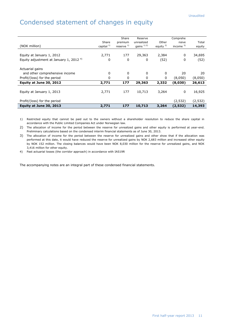# Condensed statement of changes in equity

|                                            |               | Share         | Reserve        |              | Comprehe     |          |
|--------------------------------------------|---------------|---------------|----------------|--------------|--------------|----------|
|                                            | Share         | premium       | unrealized     | Other        | nsive        | Total    |
| (NOK million)                              | capital $1$ ) | reserve $1$ ) | gains $^{1/2}$ | equity $2$ ) | income $3$ ) | equity   |
|                                            |               |               |                |              |              |          |
| Equity at January 1, 2012                  | 2,771         | 177           | 29,363         | 2,384        | 0            | 34,695   |
| Equity adjustment at January 1, 2012 $4$ ) | 0             | 0             | 0              | (52)         | 0            | (52)     |
| Actuarial gains                            |               |               |                |              |              |          |
| and other comprehensive income             | 0             | 0             | 0              | 0            | 20           | 20       |
| Profit/(loss) for the period               | 0             | 0             | 0              | 0            | (8,050)      | (8,050)  |
| Equity at June 30, 2012                    | 2,771         | 177           | 29,363         | 2,332        | (8,030)      | 26,613   |
|                                            |               |               |                |              |              |          |
| Equity at January 1, 2013                  | 2,771         | 177           | 10,713         | 3,264        | 0            | 16,925   |
| Profit/(loss) for the period               |               |               |                |              | (2, 532)     | (2, 532) |
| Equity at June 30, 2013                    | 2,771         | 177           | 10,713         | 3,264        | (2,532)      | 14,393   |

1) Restricted equity that cannot be paid out to the owners without a shareholder resolution to reduce the share capital in accordance with the Public Limited Companies Act under Norwegian law.

2) The allocation of income for the period between the reserve for unrealized gains and other equity is performed at year-end. Preliminary calculations based on the condensed interim financial statements as of June 30, 2013.

3) The allocation of income for the period between the reserve for unrealized gains and other show that if the allocation was performed at this date, it would have reduced the reserve for unrealized gains by NOK 2,683 million and increased other equity by NOK 152 million. The closing balances would have been NOK 8,030 million for the reserve for unrealized gains, and NOK 3,416 million for other equity.

4) Past actuarial losses (the corridor approach) in accordance with IAS19R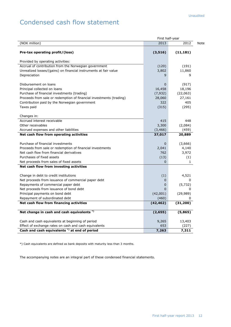# Condensed cash flow statement

| (NOK million)<br>2013<br>Pre-tax operating profit/(loss)<br>(3, 516)<br>(11, 181)<br>Provided by operating activities:<br>Accrual of contribution from the Norwegian government<br>(120)<br>Unrealized losses/(gains) on financial instruments at fair value<br>3,802<br>9<br>Depreciation<br>Disbursement on loans<br>0<br>Principal collected on loans<br>16,458<br>Purchase of financial investments (trading)<br>(7, 932)<br>(22,063)<br>Proceeds from sale or redemption of financial investments (trading)<br>28,060<br>322<br>Contribution paid by the Norwegian government<br>Taxes paid<br>(315)<br>Changes in:<br>Accrued interest receivable<br>415<br>3,300<br>Other receivables<br>Accrued expenses and other liabilities<br>(3, 466)<br>Net cash flow from operating activities<br>37,017<br>Purchase of financial investments<br>0<br>(3,666)<br>Proceeds from sale or redemption of financial investments<br>2,041<br>Net cash flow from financial derivatives<br>762<br>Purchases of fixed assets<br>(13)<br>Net proceeds from sales of fixed assets<br>$\mathbf{0}$ |         |
|---------------------------------------------------------------------------------------------------------------------------------------------------------------------------------------------------------------------------------------------------------------------------------------------------------------------------------------------------------------------------------------------------------------------------------------------------------------------------------------------------------------------------------------------------------------------------------------------------------------------------------------------------------------------------------------------------------------------------------------------------------------------------------------------------------------------------------------------------------------------------------------------------------------------------------------------------------------------------------------------------------------------------------------------------------------------------------------|---------|
|                                                                                                                                                                                                                                                                                                                                                                                                                                                                                                                                                                                                                                                                                                                                                                                                                                                                                                                                                                                                                                                                                       | 2012    |
|                                                                                                                                                                                                                                                                                                                                                                                                                                                                                                                                                                                                                                                                                                                                                                                                                                                                                                                                                                                                                                                                                       |         |
|                                                                                                                                                                                                                                                                                                                                                                                                                                                                                                                                                                                                                                                                                                                                                                                                                                                                                                                                                                                                                                                                                       |         |
|                                                                                                                                                                                                                                                                                                                                                                                                                                                                                                                                                                                                                                                                                                                                                                                                                                                                                                                                                                                                                                                                                       | (191)   |
|                                                                                                                                                                                                                                                                                                                                                                                                                                                                                                                                                                                                                                                                                                                                                                                                                                                                                                                                                                                                                                                                                       | 11,860  |
|                                                                                                                                                                                                                                                                                                                                                                                                                                                                                                                                                                                                                                                                                                                                                                                                                                                                                                                                                                                                                                                                                       | 9       |
|                                                                                                                                                                                                                                                                                                                                                                                                                                                                                                                                                                                                                                                                                                                                                                                                                                                                                                                                                                                                                                                                                       | (917)   |
|                                                                                                                                                                                                                                                                                                                                                                                                                                                                                                                                                                                                                                                                                                                                                                                                                                                                                                                                                                                                                                                                                       | 18,196  |
|                                                                                                                                                                                                                                                                                                                                                                                                                                                                                                                                                                                                                                                                                                                                                                                                                                                                                                                                                                                                                                                                                       |         |
|                                                                                                                                                                                                                                                                                                                                                                                                                                                                                                                                                                                                                                                                                                                                                                                                                                                                                                                                                                                                                                                                                       | 27,161  |
|                                                                                                                                                                                                                                                                                                                                                                                                                                                                                                                                                                                                                                                                                                                                                                                                                                                                                                                                                                                                                                                                                       | 405     |
|                                                                                                                                                                                                                                                                                                                                                                                                                                                                                                                                                                                                                                                                                                                                                                                                                                                                                                                                                                                                                                                                                       | (295)   |
|                                                                                                                                                                                                                                                                                                                                                                                                                                                                                                                                                                                                                                                                                                                                                                                                                                                                                                                                                                                                                                                                                       |         |
|                                                                                                                                                                                                                                                                                                                                                                                                                                                                                                                                                                                                                                                                                                                                                                                                                                                                                                                                                                                                                                                                                       | 448     |
|                                                                                                                                                                                                                                                                                                                                                                                                                                                                                                                                                                                                                                                                                                                                                                                                                                                                                                                                                                                                                                                                                       | (2,084) |
|                                                                                                                                                                                                                                                                                                                                                                                                                                                                                                                                                                                                                                                                                                                                                                                                                                                                                                                                                                                                                                                                                       | (459)   |
|                                                                                                                                                                                                                                                                                                                                                                                                                                                                                                                                                                                                                                                                                                                                                                                                                                                                                                                                                                                                                                                                                       | 20,889  |
|                                                                                                                                                                                                                                                                                                                                                                                                                                                                                                                                                                                                                                                                                                                                                                                                                                                                                                                                                                                                                                                                                       |         |
|                                                                                                                                                                                                                                                                                                                                                                                                                                                                                                                                                                                                                                                                                                                                                                                                                                                                                                                                                                                                                                                                                       | 4,140   |
|                                                                                                                                                                                                                                                                                                                                                                                                                                                                                                                                                                                                                                                                                                                                                                                                                                                                                                                                                                                                                                                                                       | 3,972   |
|                                                                                                                                                                                                                                                                                                                                                                                                                                                                                                                                                                                                                                                                                                                                                                                                                                                                                                                                                                                                                                                                                       | (1)     |
|                                                                                                                                                                                                                                                                                                                                                                                                                                                                                                                                                                                                                                                                                                                                                                                                                                                                                                                                                                                                                                                                                       | 1       |
| Net cash flow from investing activities                                                                                                                                                                                                                                                                                                                                                                                                                                                                                                                                                                                                                                                                                                                                                                                                                                                                                                                                                                                                                                               |         |
| Change in debt to credit institutions<br>(1)                                                                                                                                                                                                                                                                                                                                                                                                                                                                                                                                                                                                                                                                                                                                                                                                                                                                                                                                                                                                                                          | 4,521   |
| Net proceeds from issuance of commercial paper debt<br>0                                                                                                                                                                                                                                                                                                                                                                                                                                                                                                                                                                                                                                                                                                                                                                                                                                                                                                                                                                                                                              | 0       |
| Repayments of commercial paper debt<br>0                                                                                                                                                                                                                                                                                                                                                                                                                                                                                                                                                                                                                                                                                                                                                                                                                                                                                                                                                                                                                                              | (5,732) |
| Net proceeds from issuance of bond debt<br>0                                                                                                                                                                                                                                                                                                                                                                                                                                                                                                                                                                                                                                                                                                                                                                                                                                                                                                                                                                                                                                          | 0       |
| (42,001)<br>(29, 989)<br>Principal payments on bond debt                                                                                                                                                                                                                                                                                                                                                                                                                                                                                                                                                                                                                                                                                                                                                                                                                                                                                                                                                                                                                              |         |
| Repayment of subordinated debt<br>(460)                                                                                                                                                                                                                                                                                                                                                                                                                                                                                                                                                                                                                                                                                                                                                                                                                                                                                                                                                                                                                                               |         |
| Net cash flow from financing activities<br>(42, 462)<br>(31, 200)                                                                                                                                                                                                                                                                                                                                                                                                                                                                                                                                                                                                                                                                                                                                                                                                                                                                                                                                                                                                                     |         |
| Net change in cash and cash equivalents *)<br>(5,865)<br>(2, 655)                                                                                                                                                                                                                                                                                                                                                                                                                                                                                                                                                                                                                                                                                                                                                                                                                                                                                                                                                                                                                     |         |
| Cash and cash equivalents at beginning of period<br>9,265                                                                                                                                                                                                                                                                                                                                                                                                                                                                                                                                                                                                                                                                                                                                                                                                                                                                                                                                                                                                                             | 13,403  |
| Effect of exchange rates on cash and cash equivalents<br>653                                                                                                                                                                                                                                                                                                                                                                                                                                                                                                                                                                                                                                                                                                                                                                                                                                                                                                                                                                                                                          | (227)   |
| Cash and cash equivalents *) at end of period<br>7,263                                                                                                                                                                                                                                                                                                                                                                                                                                                                                                                                                                                                                                                                                                                                                                                                                                                                                                                                                                                                                                | 7,311   |

\*) Cash equivalents are defined as bank deposits with maturity less than 3 months.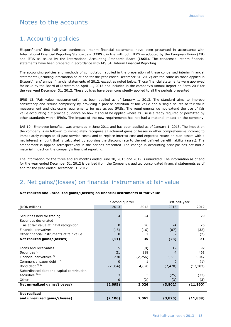# Notes to the accounts

### 1. Accounting policies

Eksportfinans' first half-year condensed interim financial statements have been presented in accordance with International Financial Reporting Standards – (**IFRS**), in line with both IFRS as adopted by the European Union (**EU**) and IFRS as issued by the International Accounting Standards Board (**IASB**). The condensed interim financial statements have been prepared in accordance with IAS 34, Interim Financial Reporting.

The accounting policies and methods of computation applied in the preparation of these condensed interim financial statements (including information as of and for the year ended December 31, 2012) are the same as those applied in Eksportfinans' annual financial statements of 2012, except as noted below. Those financial statements were approved for issue by the Board of Directors on April 11, 2013 and included in the company's Annual Report on Form 20-F for the year-end December 31, 2012. These policies have been consistently applied to all the periods presented.

IFRS 13, 'Fair value measurement', has been applied as of January 1, 2013. The standard aims to improve consistency and reduce complexity by providing a precise definition of fair value and a single source of fair value measurement and disclosure requirements for use across IFRSs. The requirements do not extend the use of fair value accounting but provide guidance on how it should be applied where its use is already required or permitted by other standards within IFRSs. The impact of the new requirements has not had a material impact on the company.

IAS 19, 'Employee benefits', was amended in June 2011 and has been applied as of January 1, 2013. The impact on the company is as follows: to immediately recognize all actuarial gains or losses in other comprehensive income; to immediately recognize all past service costs; and to replace interest cost and expected return on plan assets with a net interest amount that is calculated by applying the discount rate to the net defined benefit liability (asset). The amendment is applied retrospectively in the periods presented. The change in accounting principle has not had a material impact on the company's financial reporting.

The information for the three and six months ended June 30, 2013 and 2012 is unaudited. The information as of and for the year ended December 31, 2012 is derived from the Company's audited consolidated financial statements as of and for the year ended December 31, 2012.

# 2. Net gains/(losses) on financial instruments at fair value

#### **Net realized and unrealized gains/(losses) on financial instruments at fair value**

|                                            |          | Second quarter | First half-year |           |  |
|--------------------------------------------|----------|----------------|-----------------|-----------|--|
| (NOK million)                              | 2013     | 2012           | 2013            | 2012      |  |
|                                            |          |                |                 |           |  |
| Securities held for trading                | 4        | 24             | 8               | 29        |  |
| Securities designated                      |          |                |                 |           |  |
| as at fair value at initial recognition    | 0        | 26             | 24              | 26        |  |
| Financial derivatives                      | (15)     | (16)           | (87)            | (32)      |  |
| Other financial instruments at fair value  | 0        |                | 32              | (2)       |  |
| Net realized gains/(losses)                | (11)     | 35             | (23)            | 21        |  |
|                                            |          |                |                 |           |  |
| Loans and receivables                      | 5        | (8)            | 12              | 92        |  |
| Securities $1$ )                           | 21       | 118            | 4               | 461       |  |
| Financial derivatives <sup>2)</sup>        | 230      | (2,756)        | 3,688           | 5,047     |  |
| Commercial paper debt 3) 4)                | $\Omega$ |                | 0               | (1)       |  |
| Bond debt 3) 4)                            | (2, 354) | 4,670          | (7, 478)        | (17, 383) |  |
| Subordinated debt and capital contribution |          |                |                 |           |  |
| securities $3)$ 4)                         | 3        | 3              | (25)            | (73)      |  |
| Other                                      | 0        | (2)            | (3)             | (3)       |  |
| Net unrealized gains/(losses)              | (2,095)  | 2,026          | (3,802)         | (11, 860) |  |
|                                            |          |                |                 |           |  |
| <b>Net realized</b>                        |          |                |                 |           |  |
| and unrealized gains/(losses)              | (2, 106) | 2,061          | (3,825)         | (11, 839) |  |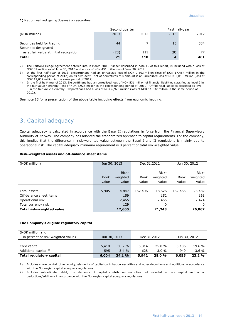#### 1) Net unrealized gains/(losses) on securities

|                                                      | Second quarter |      | First half-year |      |
|------------------------------------------------------|----------------|------|-----------------|------|
| (NOK million)                                        | 2013           | 2012 | 2013            | 2012 |
| Securities held for trading<br>Securities designated | 44             |      | 13              | 384  |
| as at fair value at initial recognition              | (23)           | 111  | (9)             | 77   |
| <b>Total</b>                                         | 21             | 118  |                 | 461  |

2) The Portfolio Hedge Agreement entered into in March 2008, further described in note 15 of this report, is included with a loss of NOK 82 million as of June 30, 2013 and a loss of NOK 451 million as of June 30, 2012.

3) In the first half-year of 2013, Eksportfinans had an unrealized loss of NOK 7,503 million (loss of NOK 17,457 million in the corresponding period of 2012) on its own debt. Net of derivatives this amount is an unrealized loss of NOK 3,813 million (loss of NOK 12,032 million in the same period of 2012).

4) In the first half-year of 2013, Eksportfinans had an unrealized loss of NOK 531 million of financial liabilities classified as level 2 in the fair value hierarchy (loss of NOK 5,926 million in the corresponding period of 2012). Of financial liabilities classified as level 3 in the fair value hierarchy, Eksportfinans had a loss of NOK 6,973 million (loss of NOK 11,532 million in the same period of 2012).

See note 15 for a presentation of the above table including effects from economic hedging.

### 3. Capital adequacy

Capital adequacy is calculated in accordance with the Basel II regulations in force from the Financial Supervisory Authority of Norway. The company has adopted the standardized approach to capital requirements. For the company, this implies that the difference in risk-weighted value between the Basel I and II regulations is mainly due to operational risk. The capital adequacy minimum requirement is 8 percent of total risk-weighted value.

#### **Risk-weighted assets and off-balance sheet items**

| (NOK million)                    |             | Jun 30, 2013 | Dec 31,2012 |          | Jun 30, 2012 |          |
|----------------------------------|-------------|--------------|-------------|----------|--------------|----------|
|                                  |             |              |             |          |              |          |
|                                  |             | Risk-        |             | Risk-    |              | Risk-    |
|                                  | <b>Book</b> | weighted     | Book        | weighted | <b>Book</b>  | weighted |
|                                  | value       | value        | value       | value    | value        | value    |
|                                  |             |              |             |          |              |          |
| Total assets                     | 115,905     | 14,847       | 157,406     | 18,626   | 182,465      | 23,482   |
| Off-balance sheet items          |             | 159          |             | 152      |              | 161      |
| Operational risk                 |             | 2,465        |             | 2,465    |              | 2,424    |
| Total currency risk              |             | 129          |             | 0        |              | 0        |
| <b>Total risk-weighted value</b> |             | 17,600       |             | 21,243   |              | 26,067   |

#### **The Company's eligible regulatory capital**

| (NOK million and<br>in percent of risk-weighted value) | Jun 30, 2013 |                   | Dec 31,2012  |                | Jun 30, 2012 |                    |
|--------------------------------------------------------|--------------|-------------------|--------------|----------------|--------------|--------------------|
| Core capital $1$ )<br>Additional capital <sup>2)</sup> | 5,410<br>595 | 30.7%<br>$3.4 \%$ | 5.314<br>628 | 25.0 %<br>3.0% | 5,106<br>949 | 19.6 %<br>$3.6 \%$ |
| Total regulatory capital                               | 6,004        | 34.1 %            | 5,942        | 28.0%          | 6,055        | 23.2%              |

1) Includes share capital, other equity, elements of capital contribution securities and other deductions and additions in accordance with the Norwegian capital adequacy regulations.

2) Includes subordinated debt, the elements of capital contribution securities not included in core capital and other deductions/additions in accordance with the Norwegian capital adequacy regulations.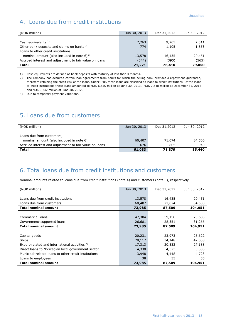# 4. Loans due from credit institutions

| (NOK million)                                          | Jun 30, 2013 | Dec 31,2012 | Jun 30, 2012 |
|--------------------------------------------------------|--------------|-------------|--------------|
|                                                        |              |             |              |
| Cash equivalents $1$ )                                 | 7,263        | 9,265       | 7,311        |
| Other bank deposits and claims on banks 3)             | 774          | 1,105       | 1,853        |
| Loans to other credit institutions,                    |              |             |              |
| nominal amount (also included in note 6) $^{2}$        | 13,578       | 16,435      | 20,451       |
| Accrued interest and adjustment to fair value on loans | (344)        | (395)       | (565)        |
| <b>Total</b>                                           | 21,271       | 26,410      | 29,050       |

1) Cash equivalents are defined as bank deposits with maturity of less than 3 months.

2) The company has acquired certain loan agreements from banks for which the selling bank provides a repayment guarantee, therefore retaining the credit risk of the loans. Under IFRS these loans are classified as loans to credit institutions. Of the loans to credit institutions these loans amounted to NOK 6,555 million at June 30, 2013, NOK 7,648 million at December 31, 2012 and NOK 9,742 million at June 30, 2012.

3) Due to temporary payment variations.

# 5. Loans due from customers

| (NOK million)                                          | Jun 30, 2013 | Dec 31,2012 | Jun 30, 2012 |
|--------------------------------------------------------|--------------|-------------|--------------|
| Loans due from customers,                              |              |             |              |
| nominal amount (also included in note 6)               | 60,407       | 71,074      | 84,500       |
| Accrued interest and adjustment to fair value on loans | 676          | 805         | 940          |
| <b>Total</b>                                           | 61,083       | 71,879      | 85,440       |

### 6. Total loans due from credit institutions and customers

Nominal amounts related to loans due from credit institutions (note 4) and customers (note 5), respectively.

| (NOK million)                                        | Jun 30, 2013 | Dec 31,2012 | Jun 30, 2012 |
|------------------------------------------------------|--------------|-------------|--------------|
|                                                      |              |             |              |
| Loans due from credit institutions                   | 13,578       | 16,435      | 20,451       |
| Loans due from customers                             | 60,407       | 71,074      | 84,500       |
| <b>Total nominal amount</b>                          | 73,985       | 87,509      | 104,951      |
|                                                      |              |             |              |
| Commercial loans                                     | 47,304       | 59,158      | 73,685       |
| Government-supported loans                           | 26,681       | 28,351      | 31,266       |
| <b>Total nominal amount</b>                          | 73,985       | 87,509      | 104,951      |
|                                                      |              |             |              |
| Capital goods                                        | 20,231       | 23,973      | 25,622       |
| Ships                                                | 28,117       | 34,148      | 42,058       |
| Export-related and international activities *)       | 17,313       | 20,532      | 27,188       |
| Direct loans to Norwegian local government sector    | 4,338        | 4,373       | 5,305        |
| Municipal-related loans to other credit institutions | 3,948        | 4,448       | 4,723        |
| Loans to employees                                   | 38           | 35          | 55           |
| <b>Total nominal amount</b>                          | 73,985       | 87,509      | 104,951      |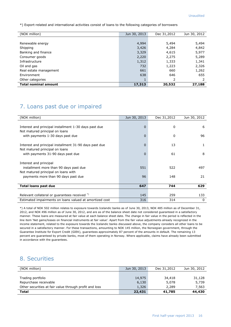\*) Export-related and international activities consist of loans to the following categories of borrowers

| <b>Total nominal amount</b> | 17,313       | 20,532      | 27,188       |
|-----------------------------|--------------|-------------|--------------|
| Other categories            | Ŧ            | 2           |              |
| Environment                 | 638          | 646         | 655          |
| Real estate management      | 661          | 660         | 1,262        |
| Oil and gas                 | 732          | 1,223       | 2,326        |
| Infrastructure              | 1,312        | 1,333       | 1,341        |
| Consumer goods              | 2,220        | 2,275       | 5,289        |
| Banking and finance         | 3,329        | 4,615       | 5,977        |
| Shipping                    | 3,426        | 4,284       | 4,842        |
| Renewable energy            | 4,994        | 5,494       | 5,494        |
|                             |              |             |              |
| (NOK million)               | Jun 30, 2013 | Dec 31,2012 | Jun 30, 2012 |
|                             |              |             |              |

### 7. Loans past due or impaired

| (NOK million)                                           | Jun 30, 2013   | Dec 31,2012 | Jun 30, 2012 |
|---------------------------------------------------------|----------------|-------------|--------------|
|                                                         |                |             |              |
| Interest and principal installment 1-30 days past due   | $\mathbf 0$    | 0           | 6            |
| Not matured principal on loans                          |                |             |              |
| with payments 1-30 days past due                        | $\overline{0}$ | 0           | 96           |
| Interest and principal installment 31-90 days past due  | $\overline{0}$ | 13          | 1            |
| Not matured principal on loans                          |                |             |              |
| with payments 31-90 days past due                       | $\mathbf 0$    | 61          | 8            |
| Interest and principal                                  |                |             |              |
| installment more than 90 days past due                  | 551            | 522         | 497          |
| Not matured principal on loans with                     |                |             |              |
| payments more than 90 days past due                     | 96             | 148         | 21           |
|                                                         |                |             |              |
| <b>Total loans past due</b>                             | 647            | 744         | 629          |
|                                                         |                |             |              |
| Relevant collateral or quarantees received *)           | 145            | 259         | 133          |
| Estimated impairments on loans valued at amortized cost | 316            | 314         | 0            |

\*) A total of NOK 502 million relates to exposure towards Icelandic banks as of June 30, 2013, NOK 485 million as of December 31, 2012, and NOK 496 million as of June 30, 2012, and are as of the balance sheet date not considered guaranteed in a satisfactory manner. These loans are measured at fair value at each balance sheet date. The change in fair value in the period is reflected in the line item 'Net gains/losses on financial instruments at fair value'. Apart from the fair value adjustments already recognized in the income statement, related to the exposure towards the Icelandic banks discussed above, the company considers all other loans to be secured in a satisfactory manner. For these transactions, amounting to NOK 145 million, the Norwegian government, through the Guarantee Institute for Export Credit (GIEK), guarantees approximately 87 percent of the amounts in default. The remaining 13 percent are guaranteed by private banks, most of them operating in Norway. Where applicable, claims have already been submitted in accordance with the guarantees.

### 8. Securities

| (NOK million)                                          | Jun 30, 2013 | Dec 31,2012 | Jun 30, 2012 |
|--------------------------------------------------------|--------------|-------------|--------------|
|                                                        |              |             |              |
| Trading portfolio                                      | 14,975       | 34,418      | 31,128       |
| Repurchase receivable                                  | 6,130        | 5,078       | 5,739        |
| Other securities at fair value through profit and loss | 1,326        | 2,289       | 7,563        |
| <b>Total</b>                                           | 22,431       | 41,785      | 44,430       |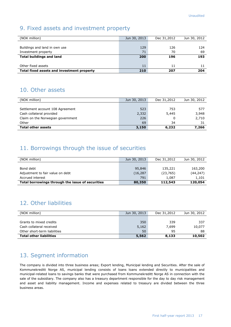### 9. Fixed assets and investment property

| (NOK million)                              | Jun 30, 2013 | Dec 31,2012 | Jun 30, 2012 |
|--------------------------------------------|--------------|-------------|--------------|
|                                            |              |             |              |
| Buildings and land in own use              | 129          | 126         | 124          |
| Investment property                        | 71           | 70          | 69           |
| <b>Total buildings and land</b>            | 200          | 196         | 193          |
|                                            |              |             |              |
| Other fixed assets                         | 11           | 11          |              |
| Total fixed assets and investment property | 210          | 207         | 204          |

### 10. Other assets

| (NOK million)                     | Jun 30, 2013 | Dec 31,2012 | Jun 30, 2012 |
|-----------------------------------|--------------|-------------|--------------|
|                                   |              |             |              |
| Settlement account 108 Agreement  | 523          | 753         | 577          |
| Cash collateral provided          | 2,332        | 5,445       | 3,948        |
| Claim on the Norwegian government | 226          |             | 2,710        |
| Other                             | 69           | 34          | 31           |
| <b>Total other assets</b>         | 3,150        | 6,232       | 7,266        |

# 11. Borrowings through the issue of securities

| (NOK million)                                    | Jun 30, 2013 | Dec 31,2012 | Jun 30, 2012 |
|--------------------------------------------------|--------------|-------------|--------------|
|                                                  |              |             |              |
| Bond debt                                        | 95,846       | 135,221     | 163,200      |
| Adjustment to fair value on debt                 | (16, 287)    | (23, 765)   | (44, 247)    |
| Accrued interest                                 | 791          | 1.087       | 1,101        |
| Total borrowings through the issue of securities | 80,350       | 112,543     | 120,054      |

# 12. Other liabilities

| (NOK million)                  | Jun 30, 2013 | Dec 31,2012 | Jun 30, 2012 |
|--------------------------------|--------------|-------------|--------------|
|                                |              |             |              |
| Grants to mixed credits        | 350          | 339         | 337          |
| Cash collateral received       | 5,162        | 7.699       | 10,077       |
| Other short-term liabilities   | 50           | 95          | 88           |
| <b>Total other liabilities</b> | 5,562        | 8,133       | 10,502       |

# 13. Segment information

The company is divided into three business areas; Export lending, Municipal lending and Securities. After the sale of Kommunekreditt Norge AS, municipal lending consists of loans loans extended directly to municipalities and municipal-related loans to savings banks that were purchased from Kommunekreditt Norge AS in connection with the sale of the subsidiary. The company also has a treasury department responsible for the day to day risk management and asset and liability management. Income and expenses related to treasury are divided between the three business areas.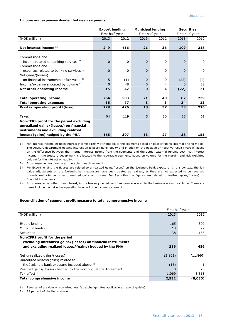#### **Income and expenses divided between segments**

|                                                                          | <b>Export lending</b><br>First half-year |              | <b>Municipal lending</b><br>First half-year |         | <b>Securities</b><br>First half-year |              |
|--------------------------------------------------------------------------|------------------------------------------|--------------|---------------------------------------------|---------|--------------------------------------|--------------|
| (NOK million)                                                            | 2013                                     | 2012         | 2013                                        | 2012    | 2013                                 | 2012         |
| Net interest income <sup>1)</sup>                                        | 249                                      | 456          | 21                                          | 36      | 109                                  | 218          |
| Commissions and                                                          |                                          |              |                                             |         |                                      |              |
| income related to banking services <sup>2)</sup><br>Commissions and      | $\Omega$                                 | $\mathbf{0}$ | $\Omega$                                    | 0       | $\Omega$                             | $\mathbf{0}$ |
| expenses related to banking services <sup>2)</sup><br>Net gains/(losses) | $\Omega$                                 | 0            | $\Omega$                                    | 0       | $\Omega$                             | $\mathbf 0$  |
| on financial instruments at fair value 3)                                | 15                                       | (1)          | $\Omega$                                    | 0       | (22)                                 | (1)          |
| Income/expense allocated by volume <sup>4)</sup>                         | $\Omega$                                 | 48           | 0                                           | 4       | <sup>0</sup>                         | 22           |
| Net other operating income                                               | 15                                       | 47           | $\mathbf{0}$                                | 4       | (22)                                 | 21           |
| <b>Total operating income</b><br><b>Total operating expenses</b>         | 264<br>35                                | 503<br>77    | 21<br>3                                     | 40<br>з | 87<br>34                             | 239<br>23    |
| Pre-tax operating profit/(loss)                                          | 229                                      | 426          | 18                                          | 37      | 53                                   | 216          |
|                                                                          |                                          |              |                                             |         |                                      |              |
| Taxes                                                                    | 64                                       | 119          | 5                                           | 10      | 15                                   | 61           |
| Non-IFRS profit for the period excluding                                 |                                          |              |                                             |         |                                      |              |
| unrealized gains/(losses) on financial                                   |                                          |              |                                             |         |                                      |              |
| instruments and excluding realized                                       |                                          |              |                                             |         |                                      |              |
| losses/(gains) hedged by the PHA                                         | 165                                      | 307          | 13                                          | 27      | 38                                   | 155          |

1) Net interest income includes interest income directly attributable to the segments based on Eksportfinans' internal pricing model. The treasury department obtains interest on Eksportfinans' equity and in addition the positive or negative result (margin) based on the difference between the internal interest income from the segments and the actual external funding cost. Net interest income in the treasury department is allocated to the reportable segments based on volume for the margin, and risk weighted volume for the interest on equity.

2) Income/(expense) directly attributable to each segment.

3) For Export lending the figures are related to unrealized gains/(losses) on the Icelandic bank exposure. In this context, the fair value adjustments on the Icelandic bank exposure have been treated as realized, as they are not expected to be reversed towards maturity, as other unrealized gains and losses. For Securities the figures are related to realized gains/(losses) on financial instruments.

4) Income/expense, other than interest, in the treasury department has been allocated to the business areas by volume. These are items included in net other operating income in the income statement.

#### **Reconciliation of segment profit measure to total comprehensive income**

|                                                                 |         | First half-year |
|-----------------------------------------------------------------|---------|-----------------|
| (NOK million)                                                   | 2013    | 2012            |
|                                                                 |         |                 |
| Export lending                                                  | 165     | 307             |
| Municipal lending                                               | 13      | 27              |
| <b>Securities</b>                                               | 38      | 155             |
| Non-IFRS profit for the period                                  |         |                 |
| excluding unrealized gains/(losses) on financial instruments    |         |                 |
| and excluding realized losses/(gains) hedged by the PHA         | 216     | 489             |
| Net unrealized gains/(losses) $^{1}$ )                          | (3,802) | (11, 860)       |
| Unrealized losses/(gains) related to                            |         |                 |
| the Icelandic bank exposure included above 1)                   | (15)    |                 |
| Realized gains/(losses) hedged by the Portfolio Hedge Agreement | 0       | 26              |
| Tax effect $2$ )                                                | 1,069   | 3,313           |
| Total comprehensive income                                      | 2,532   | (8,030)         |

1) Reversal of previously recognized loss (at exchange rates applicable at reporting date).

2) 28 percent of the items above.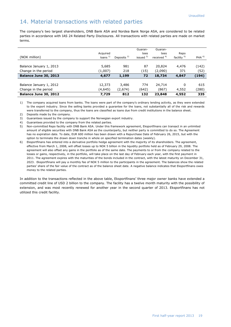### 14. Material transactions with related parties

The company's two largest shareholders, DNB Bank ASA and Nordea Bank Norge ASA, are considered to be related parties in accordance with IAS 24 Related Party Disclosures. All transactions with related parties are made on market terms.

|                         |             |              | Guaran-     | Guaran-       |                        |                  |
|-------------------------|-------------|--------------|-------------|---------------|------------------------|------------------|
|                         | Acquired    |              | tees        | tees          | Repo                   |                  |
| (NOK million)           | loans $1$ ) | Deposits $2$ | issued $3)$ | received $4)$ | facility <sup>5)</sup> | PHA <sup>6</sup> |
|                         |             |              |             |               |                        |                  |
| Balance January 1, 2013 | 5,685       | 981          | 87          | 20,824        | 4,476                  | (142)            |
| Change in the period    | (1,007)     | 218          | (15)        | (2,090)       | 371                    | (52)             |
| Balance June 30, 2013   | 4,677       | 1,199        | 72          | 18,734        | 4,847                  | (194)            |
|                         |             |              |             |               |                        |                  |
| Balance January 1, 2012 | 12,373      | 3,486        | 774         | 24,714        | 0                      | 615              |
| Change in the period    | (4,645)     | (2,674)      | (642)       | (867)         | 4,552                  | (280)            |
| Balance June 30, 2012   | 7,729       | 812          | 132         | 23,848        | 4,552                  | 335              |

1) The company acquired loans from banks. The loans were part of the company's ordinary lending activity, as they were extended to the export industry. Since the selling banks provided a guarantee for the loans, not substantially all of the risk and rewards were transferred to the company, thus the loans are classified as loans due from credit institutions in the balance sheet.

2) Deposits made by the company.

3) Guarantees issued by the company to support the Norwegian export industry.

4) Guarantees provided to the company from the related parties.

5) Non-committed Repo facility with DNB Bank ASA. Under this framework agreement, Eksportfinans can transact in an unlimited amount of eligible securities with DNB Bank ASA as the counterparty, but neither party is committed to do so. The Agreement has no expiration date. To date, EUR 600 million has been drawn with a Repurchase Date of February 26, 2015, but with the option to terminate the drawn down tranche in whole on specified termination dates (weekly).

6) Eksportfinans has entered into a derivative portfolio hedge agreement with the majority of its shareholders. The agreement, effective from March 1, 2008, will offset losses up to NOK 5 billion in the liquidity portfolio held as of February 29, 2008. The agreement will also offset any gains in the portfolio as of the same date. The payments to or from the company related to the losses or gains, respectively, in the portfolio, will take place on the last day of February each year, with the first payment in 2011. The agreement expires with the maturities of the bonds included in the contract, with the latest maturity on December 31, 2023. Eksportfinans will pay a monthly fee of NOK 5 million to the participants in the agreement. The balances show the related parties' share of the fair value of the contract as of the balance sheet date. A negative balance indicates that Eksportfinans owes money to the related parties.

In addition to the transactions reflected in the above table, Eksportfinans' three major owner banks have extended a committed credit line of USD 2 billion to the company. The facility has a twelve month maturity with the possibility of extension, and was most recently renewed for another year in the second quarter of 2013. Eksportfinans has not utilized this credit facility.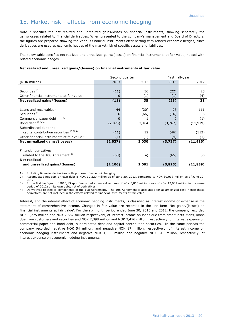### 15. Market risk - effects from economic hedging

Note 2 specifies the net realized and unrealized gains/losses on financial instruments, showing separately the gains/losses related to financial derivatives. When presented to the company's management and Board of Directors, the figures are prepared showing the various financial instruments after netting with related economic hedges, since derivatives are used as economic hedges of the market risk of specific assets and liabilities.

The below table specifies net realized and unrealized gains/(losses) on financial instruments at fair value, netted with related economic hedges.

#### **Net realized and unrealized gains/(losses) on financial instruments at fair value**

|                                               |          | Second quarter | First half-year |           |  |
|-----------------------------------------------|----------|----------------|-----------------|-----------|--|
| (NOK million)                                 | 2013     | 2012           | 2013            | 2012      |  |
|                                               |          |                |                 |           |  |
| Securities $1$ )                              | (11)     | 36             | (22)            | 25        |  |
| Other financial instruments at fair value     | 0        | (1)            | (1)             | (4)       |  |
| Net realized gains/(losses)                   | (11)     | 35             | (23)            | 21        |  |
|                                               |          |                |                 |           |  |
| Loans and receivables <sup>1)</sup>           | 44       | (20)           | 96              | 111       |  |
| Securities $1$ )                              | 6        | (66)           | (16)            | 6         |  |
| Commercial paper debt 1) 2) 3)                | 0        |                | $\Omega$        | (1)       |  |
| Bond debt $(1)$ $(2)$ $(3)$                   | (2,075)  | 2,104          | (3,767)         | (11, 919) |  |
| Subordinated debt and                         |          |                |                 |           |  |
| capital contribution securities $1/2$ , $3/3$ | (11)     | 12             | (46)            | (112)     |  |
| Other financial instruments at fair value 1)  | (1)      | (1)            | (4)             | (1)       |  |
| Net unrealized gains/(losses)                 | (2,037)  | 2,030          | (3,737)         | (11, 916) |  |
|                                               |          |                |                 |           |  |
| Financial derivatives                         |          |                |                 |           |  |
| related to the 108 Agreement <sup>4)</sup>    | (58)     | (4)            | (65)            | 56        |  |
| <b>Net realized</b>                           |          |                |                 |           |  |
| and unrealized gains/(losses)                 | (2, 106) | 2,061          | (3,825)         | (11, 839) |  |

1) Including financial derivatives with purpose of economic hedging.<br>2) Accumulated net gain on own debt is NOK 12,229 million as of

2) Accumulated net gain on own debt is NOK 12,229 million as of June 30, 2013, compared to NOK 30,038 million as of June 30, 2012.

3) In the first half-year of 2013, Eksportfinans had an unrealized loss of NOK 3,813 million (loss of NOK 12,032 million in the same period of 2012) on its own debt, net of derivatives.

4) Derivatives related to components of the 108 Agreement. The 108 Agreement is accounted for at amortized cost, hence these derivatives are not included in the effects related to financial instruments at fair value.

Interest, and the interest effect of economic hedging instruments, is classified as interest income or expense in the statement of comprehensive income. Changes in fair value are recorded in the line item 'Net gains/(losses) on financial instruments at fair value'. For the six month period ended June 30, 2013 and 2012, the company recorded NOK 1,775 million and NOK 2,662 million respectively, of interest income on loans due from credit institutions, loans due from customers and securities and NOK 2,398 million and NOK 2,476 million, respectively, of interest expense on commercial paper and bond debt, subordinated debt and capital contribution securities. In the same periods the company recorded negative NOK 54 million, and negative NOK 87 million, respectively, of interest income on economic hedging instruments and negative NOK 1,056 million and negative NOK 610 million, respectively, of interest expense on economic hedging instruments.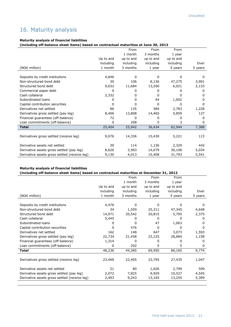# 16. Maturity analysis

#### **Maturity analysis of financial liabilities**

**(including off-balance sheet items) based on contractual maturities at June 30, 2013**

|                                               |           | From         | From      | From      |              |
|-----------------------------------------------|-----------|--------------|-----------|-----------|--------------|
|                                               |           | 1 month      | 3 months  | 1 year    |              |
|                                               | Up to and | up to and    | up to and | up to and |              |
|                                               | including | including    | including | including | Over         |
| (NOK million)                                 | 1 month   | 3 months     | 1 year    | 5 years   | 5 years      |
|                                               |           |              |           |           |              |
| Deposits by credit institutions               | 4,846     | $\Omega$     | 0         | 0         | 0            |
| Non-structured bond debt                      | 30        | 106          | 8,136     | 47,275    | 3,901        |
| Structured bond debt                          | 9,632     | 11,684       | 13,200    | 6,021     | 2,133        |
| Commercial paper debt                         | 0         | 0            | 0         | 0         | 0            |
| Cash collateral                               | 2,332     | 0            | 0         | 0         | 0            |
| Subordinated loans                            | 0         | 0            | 44        | 1,002     | <sup>0</sup> |
| Capital contribution securities               | 0         | 0            | 0         | 0         | $\Omega$     |
| Derivatives net settled                       | 86        | 135          | 584       | 2,783     | 1,228        |
| Derivatives gross settled (pay leg)           | 8,406     | 13,808       | 14,465    | 5,859     | 127          |
| Financial quarantees (off-balance)            | 72        | <sup>0</sup> | 0         | 0         | 0            |
| Loan commitments (off-balance)                | 0         | 208          | 5         | 3         | $\Omega$     |
| <b>Total</b>                                  | 25,404    | 25,942       | 36,434    | 62,944    | 7,388        |
|                                               |           |              |           |           |              |
| Derivatives gross settled (receive leg)       | 9,076     | 14,336       | 15,430    | 5,221     | 113          |
|                                               |           |              |           |           |              |
| Derivative assets net settled                 | 39        | 114          | 1,136     | 2,329     | 442          |
| Derivative assets gross settled (pay leg)     | 8,626     | 3,583        | 14,079    | 30,108    | 5,034        |
| Derivative assets gross settled (receive leg) | 9,130     | 4,013        | 15,408    | 31,793    | 5,541        |

#### **Maturity analysis of financial liabilities**

#### **(including off-balance sheet items) based on contractual maturities at December 31, 2012**

| Over<br>5 years |
|-----------------|
|                 |
|                 |
|                 |
|                 |
|                 |
| <sup>0</sup>    |
| 4,648           |
| 2,375           |
| 0               |
| O               |
| 0               |
| 1,593           |
| 1,158           |
| $\Omega$        |
| $\Omega$        |
| 9,774           |
|                 |
| 1,047           |
|                 |
| 509             |
| 4,545           |
| 5,399           |
|                 |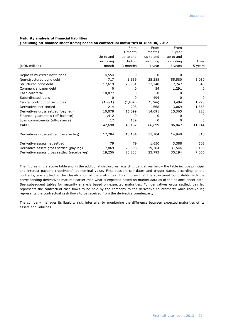#### **Maturity analysis of financial liabilities**

**(including off-balance sheet items) based on contractual maturities at June 30, 2012**

|                                               |           | From      | From         | From      |              |
|-----------------------------------------------|-----------|-----------|--------------|-----------|--------------|
|                                               |           | 1 month   | 3 months     | 1 year    |              |
|                                               | Up to and | up to and | up to and    | up to and |              |
|                                               | including | including | including    | including | Over         |
| (NOK million)                                 | 1 month   | 3 months  | 1 year       | 5 years   | 5 years      |
|                                               |           |           |              |           |              |
| Deposits by credit institutions               | 4,554     | 0         | $\mathbf{0}$ | 0         | 0            |
| Non-structured bond debt                      | 717       | 1,636     | 25,288       | 55,580    | 5,030        |
| Structured bond debt                          | 17,619    | 28,931    | 27,248       | 7,247     | 3,045        |
| Commercial paper debt                         | 0         | 0         | 54           | 1,291     | 0            |
| Cash collateral                               | 10,077    | 0         | 0            | 0         | O            |
| Subordinated loans                            | 0         | 0         | 494          | 0         | <sup>0</sup> |
| Capital contribution securities               | (1,991)   | (1,876)   | (1,744)      | 3,494     | 1,778        |
| Derivatives net settled                       | 214       | 208       | 668          | 3,069     | 1,863        |
| Derivatives gross settled (pay leg)           | 10,078    | 16,099    | 14,691       | 15,365    | 228          |
| Financial quarantees (off-balance)            | 1,412     | 0         | 0            | 0         | <sup>0</sup> |
| Loan commitments (off-balance)                | 17        | 189       | 0            | 0         | 0            |
| <b>Total</b>                                  | 42,698    | 45,187    | 66,699       | 86,047    | 11,944       |
|                                               |           |           |              |           |              |
| Derivatives gross settled (receive leg)       | 12,284    | 18,184    | 17,104       | 14,940    | 313          |
|                                               |           |           |              |           |              |
| Derivative assets net settled                 | 79        | 79        | 1,650        | 3,388     | 502          |
| Derivative assets gross settled (pay leg)     | 17,869    | 20,598    | 19,784       | 31,544    | 6,196        |
| Derivative assets gross settled (receive leg) | 19,256    | 23,233    | 23,793       | 35,194    | 7,056        |

The figures in the above table and in the additional disclosures regarding derivatives below the table include principal and interest payable (receivable) at nominal value. First possible call dates and trigger dates, according to the contracts, are applied in the classification of the maturities. This implies that the structured bond debts with the corresponding derivatives matures earlier than what is expected based on market data as of the balance sheet date. See subsequent tables for maturity analysis based on expected maturities. For derivatives gross settled, pay leg represents the contractual cash flows to be paid by the company to the derivative counterparty while receive leg represents the contractual cash flows to be received from the derivative counterparty.

The company manages its liquidity risk, inter alia, by monitoring the difference between expected maturities of its assets and liabilities.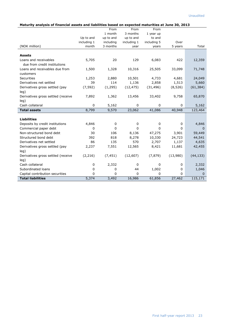#### **Maturity analysis of financial assets and liabilities based on expected maturities at June 30, 2013**

|                                    |             | From        | From        | From        |          |           |
|------------------------------------|-------------|-------------|-------------|-------------|----------|-----------|
|                                    |             | 1 month     | 3 months    | 1 year up   |          |           |
|                                    | Up to and   | up to and   | up to and   | to and      |          |           |
|                                    | including 1 | including   | including 1 | including 5 | Over     |           |
| (NOK million)                      | month       | 3 months    | year        | years       | 5 years  | Total     |
| <b>Assets</b>                      |             |             |             |             |          |           |
| Loans and receivables              | 5,705       | 20          | 129         | 6,083       | 422      | 12,359    |
| due from credit institutions       |             |             |             |             |          |           |
| Loans and receivables due from     | 1,500       | 1,328       | 10,316      | 25,505      | 33,099   | 71,748    |
| customers                          |             |             |             |             |          |           |
| <b>Securities</b>                  | 1,253       | 2,880       | 10,501      | 4,733       | 4,681    | 24,049    |
| Derivatives net settled            | 39          | 114         | 1,136       | 2,858       | 1,513    | 5,660     |
| Derivatives gross settled (pay     | (7, 592)    | (1, 295)    | (12, 475)   | (31, 496)   | (8,526)  | (61, 384) |
| leg)                               |             |             |             |             |          |           |
| Derivatives gross settled (receive | 7,892       | 1,362       | 13,456      | 33,402      | 9,758    | 65,870    |
| leg)                               |             |             |             |             |          |           |
| Cash collateral                    | 0           | 5,162       | $\mathbf 0$ | $\mathbf 0$ | 0        | 5,162     |
| <b>Total assets</b>                | 8,799       | 9,570       | 23,062      | 41,086      | 40,948   | 123,464   |
| <b>Liabilities</b>                 |             |             |             |             |          |           |
| Deposits by credit institutions    | 4,846       | 0           | 0           | 0           | 0        | 4,846     |
| Commercial paper debt              | 0           | $\Omega$    | $\Omega$    | 0           | 0        | 0         |
| Non-structured bond debt           | 30          | 106         | 8,136       | 47,275      | 3,901    | 59,449    |
| Structured bond debt               | 392         | 818         | 8,278       | 10,330      | 24,723   | 44,541    |
| Derivatives net settled            | 86          | 135         | 570         | 2,707       | 1,137    | 4,635     |
| Derivatives gross settled (pay     | 2,237       | 7,551       | 12,565      | 8,421       | 11,681   | 42,455    |
| leg)                               |             |             |             |             |          |           |
| Derivatives gross settled (receive | (2, 216)    | (7, 451)    | (12,607)    | (7, 879)    | (13,980) | (44, 133) |
| leg)                               |             |             |             |             |          |           |
| Cash collateral                    | 0           | 2,332       | 0           | 0           | 0        | 2,332     |
| Subordinated loans                 | 0           | 0           | 44          | 1,002       | 0        | 1,046     |
| Capital contribution securities    | $\mathbf 0$ | $\mathbf 0$ | $\Omega$    | 0           | $\Omega$ | $\Omega$  |
| <b>Total liabilities</b>           | 5,374       | 3,492       | 16,986      | 61,856      | 27,462   | 115,171   |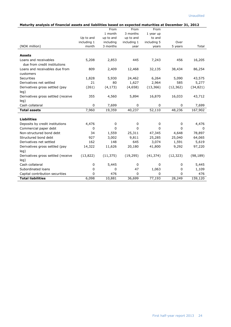|  | Maturity analysis of financial assets and liabilities based on expected maturities at December 31, 2012 |
|--|---------------------------------------------------------------------------------------------------------|
|--|---------------------------------------------------------------------------------------------------------|

| riaturity analysis of miancial assets and nabilities based on expected maturities at becember 31, 2012 |                      |                       |             |             |           |           |
|--------------------------------------------------------------------------------------------------------|----------------------|-----------------------|-------------|-------------|-----------|-----------|
|                                                                                                        |                      | From                  | From        | From        |           |           |
|                                                                                                        |                      | 1 month               | 3 months    | 1 year up   |           |           |
|                                                                                                        | Up to and            | up to and             | up to and   | to and      | Over      |           |
| (NOK million)                                                                                          | including 1<br>month | including<br>3 months | including 1 | including 5 | 5 years   | Total     |
|                                                                                                        |                      |                       | year        | years       |           |           |
| <b>Assets</b>                                                                                          |                      |                       |             |             |           |           |
| Loans and receivables                                                                                  | 5,208                | 2,853                 | 445         | 7,243       | 456       | 16,205    |
| due from credit institutions                                                                           |                      |                       |             |             |           |           |
| Loans and receivables due from                                                                         | 809                  | 2,409                 | 12,468      | 32,135      | 38,434    | 86,254    |
| customers                                                                                              |                      |                       |             |             |           |           |
| Securities                                                                                             | 1,828                | 5,930                 | 24,462      | 6,264       | 5,090     | 43,575    |
| Derivatives net settled                                                                                | 21                   | 80                    | 1,627       | 2,964       | 585       | 5,277     |
| Derivatives gross settled (pay                                                                         | (261)                | (4, 173)              | (4,658)     | (13, 366)   | (12, 362) | (34, 821) |
| leg)                                                                                                   |                      |                       |             |             |           |           |
| Derivatives gross settled (receive                                                                     | 355                  | 4,560                 | 5,894       | 16,870      | 16,033    | 43,712    |
| leg)                                                                                                   |                      |                       |             |             |           |           |
| Cash collateral                                                                                        | 0                    | 7,699                 | 0           | 0           | 0         | 7,699     |
| <b>Total assets</b>                                                                                    | 7,960                | 19,359                | 40,237      | 52,110      | 48,236    | 167,902   |
| <b>Liabilities</b>                                                                                     |                      |                       |             |             |           |           |
| Deposits by credit institutions                                                                        | 4,476                | $\mathbf 0$           | 0           | 0           | 0         | 4,476     |
| Commercial paper debt                                                                                  | 0                    | $\mathbf 0$           | $\mathbf 0$ | 0           | 0         | 0         |
| Non-structured bond debt                                                                               | 34                   | 1,559                 | 25,311      | 47,345      | 4,648     | 78,897    |
| Structured bond debt                                                                                   | 927                  | 3,002                 | 9,811       | 25,285      | 25,040    | 64,065    |
| Derivatives net settled                                                                                | 162                  | 148                   | 645         | 3,074       | 1,591     | 5,619     |
| Derivatives gross settled (pay                                                                         | 14,322               | 11,626                | 20,180      | 41,800      | 9,292     | 97,220    |
| leg)                                                                                                   |                      |                       |             |             |           |           |
| Derivatives gross settled (receive                                                                     | (13, 822)            | (11, 375)             | (19, 295)   | (41, 374)   | (12, 323) | (98, 189) |
| leg)                                                                                                   |                      |                       |             |             |           |           |
| Cash collateral                                                                                        | 0                    | 5,445                 | 0           | 0           | 0         | 5,445     |
| Subordinated loans                                                                                     | 0                    | 0                     | 47          | 1,063       | 0         | 1,109     |
| Capital contribution securities                                                                        | $\Omega$             | 476                   | 0           | $\Omega$    | $\Omega$  | 476       |
| <b>Total liabilities</b>                                                                               | 6,098                | 10,881                | 36,699      | 77,193      | 28,249    | 159,120   |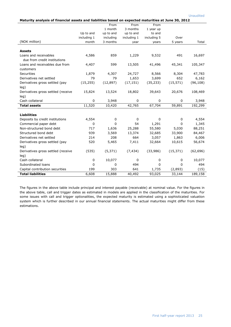| Maturity analysis of financial assets and liabilities based on expected maturities at June 30, 2012 |             |           |             |             |             |           |  |
|-----------------------------------------------------------------------------------------------------|-------------|-----------|-------------|-------------|-------------|-----------|--|
|                                                                                                     |             | From      | From        | From        |             |           |  |
|                                                                                                     |             | 1 month   | 3 months    | 1 year up   |             |           |  |
|                                                                                                     | Up to and   | up to and | up to and   | to and      |             |           |  |
|                                                                                                     | including 1 | including | including 1 | including 5 | Over        |           |  |
| (NOK million)                                                                                       | month       | 3 months  | year        | years       | 5 years     | Total     |  |
|                                                                                                     |             |           |             |             |             |           |  |
| <b>Assets</b>                                                                                       |             |           |             |             |             |           |  |
| Loans and receivables                                                                               | 4,586       | 859       | 1,229       | 9,532       | 491         | 16,697    |  |
| due from credit institutions                                                                        |             |           |             |             |             |           |  |
| Loans and receivables due from                                                                      | 4,407       | 599       | 13,505      | 41,496      | 45,341      | 105,347   |  |
| customers                                                                                           |             |           |             |             |             |           |  |
| Securities                                                                                          | 1,879       | 4,307     | 24,727      | 8,566       | 8,304       | 47,783    |  |
| Derivatives net settled                                                                             | 79          | 79        | 1,653       | 3,699       | 652         | 6,162     |  |
| Derivatives gross settled (pay                                                                      | (15, 255)   | (12, 897) | (17, 151)   | (35, 233)   | (15, 571)   | (96, 108) |  |
| leg)                                                                                                |             |           |             |             |             |           |  |
| Derivatives gross settled (receive                                                                  | 15,824      | 13,524    | 18,802      | 39,643      | 20,676      | 108,469   |  |
| leg)                                                                                                |             |           |             |             |             |           |  |
| Cash collateral                                                                                     | 0           | 3,948     | 0           | 0           | $\Omega$    | 3,948     |  |
| <b>Total assets</b>                                                                                 | 11,520      | 10,420    | 42,765      | 67,704      | 59,891      | 192,299   |  |
|                                                                                                     |             |           |             |             |             |           |  |
| <b>Liabilities</b>                                                                                  |             |           |             |             |             |           |  |
| Deposits by credit institutions                                                                     | 4,554       | 0         | 0           | 0           | $\mathbf 0$ | 4,554     |  |
| Commercial paper debt                                                                               | 0           | $\Omega$  | 54          | 1,291       | 0           | 1,345     |  |
| Non-structured bond debt                                                                            | 717         | 1,636     | 25,288      | 55,580      | 5,030       | 88,251    |  |
| Structured bond debt                                                                                | 939         | 3,569     | 13,374      | 32,685      | 33,900      | 84,467    |  |
| Derivatives net settled                                                                             | 214         | 208       | 664         | 3,057       | 1,863       | 6,006     |  |
| Derivatives gross settled (pay                                                                      | 520         | 5,465     | 7,411       | 32,664      | 10,615      | 56,674    |  |
| leg)                                                                                                |             |           |             |             |             |           |  |
| Derivatives gross settled (receive                                                                  | (535)       | (5, 371)  | (7, 434)    | (33,986)    | (15, 371)   | (62, 696) |  |
| leg)                                                                                                |             |           |             |             |             |           |  |
| Cash collateral                                                                                     | 0           | 10,077    | 0           | 0           | 0           | 10,077    |  |
| Subordinated loans                                                                                  | 0           | 0         | 494         | 0           | 0           | 494       |  |
| Capital contribution securities                                                                     | 199         | 303       | 641         | 1,735       | (2,893)     | (15)      |  |
| <b>Total liabilities</b>                                                                            | 6,608       | 15,888    | 40,492      | 93,025      | 33,144      | 189,158   |  |

The figures in the above table include principal and interest payable (receivable) at nominal value. For the figures in the above table, call and trigger dates as estimated in models are applied in the classification of the maturities. For some issues with call and trigger optionalities, the expected maturity is estimated using a sophisticated valuation system which is further described in our annual financial statements. The actual maturities might differ from these estimations.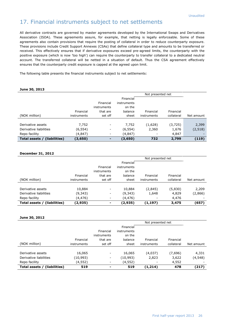# 17. Financial instruments subject to net settlements

All derivative contracts are governed by master agreements developed by the International Swaps and Derivatives Association (ISDA). These agreements assure, for example, that netting is legally enforceable. Some of these agreements also contain provisions that require the posting of collateral in order to reduce counterparty exposure. These provisions include Credit Support Annexes (CSAs) that define collateral type and amounts to be transferred or received. This effectively ensures that if derivative exposures exceed pre-agreed limits, the counterparty with the positive exposure (which is now 'too high') can require the counterparty to transfer collateral to a dedicated neutral account. The transferred collateral will be netted in a situation of default. Thus the CSA agreement effectively ensures that the counterparty credit exposure is capped at the agreed upon limit.

The following table presents the financial instruments subject to net settlements:

#### **June 30, 2013**

|                              |             |                          |                                    |             | Not presented net |            |
|------------------------------|-------------|--------------------------|------------------------------------|-------------|-------------------|------------|
|                              |             | Financial<br>instruments | Financial<br>instruments<br>on the |             |                   |            |
|                              | Financial   | that are                 | balance                            | Financial   | Financial         |            |
| (NOK million)                | instruments | set off                  | sheet                              | instruments | collateral        | Net amount |
|                              |             |                          |                                    |             |                   |            |
| Derivative assets            | 7,752       | $\overline{\phantom{a}}$ | 7,752                              | (1,628)     | (3,725)           | 2,399      |
| Derivative liabilities       | (6,554)     | $\overline{\phantom{a}}$ | (6,554)                            | 2,360       | 1,676             | (2, 518)   |
| Repo facility                | (4,847)     | $\overline{\phantom{a}}$ | (4,847)                            | ۰           | 4,847             |            |
| Total assets / (liabilities) | (3,650)     | $\blacksquare$           | (3,650)                            | 732         | 2,799             | (119)      |

#### **December 31, 2012**

|                              |             |                          |                                    | Not presented net |            |            |
|------------------------------|-------------|--------------------------|------------------------------------|-------------------|------------|------------|
|                              |             | Financial<br>instruments | Financial<br>instruments<br>on the |                   |            |            |
|                              | Financial   | that are                 | balance                            | Financial         | Financial  |            |
| (NOK million)                | instruments | set off                  | sheet                              | instruments       | collateral | Net amount |
|                              |             |                          |                                    |                   |            |            |
| Derivative assets            | 10,884      | $\overline{\phantom{a}}$ | 10,884                             | (2, 845)          | (5,830)    | 2,209      |
| Derivative liabilities       | (9,343)     | Ξ.                       | (9,343)                            | 1,648             | 4,829      | (2,866)    |
| Repo facility                | (4,476)     | -                        | (4,476)                            |                   | 4,476      |            |
| Total assets / (liabilities) | (2,935)     | $\blacksquare$           | (2,935)                            | (1, 197)          | 3,475      | (657)      |

#### **June 30, 2012**

|                              |             |                          |                       | Not presented net |            |            |
|------------------------------|-------------|--------------------------|-----------------------|-------------------|------------|------------|
|                              |             |                          | Financial             |                   |            |            |
|                              |             | Financial<br>instruments | instruments<br>on the |                   |            |            |
|                              | Financial   | that are                 | balance               | Financial         | Financial  |            |
| (NOK million)                | instruments | set off                  | sheet                 | instruments       | collateral | Net amount |
|                              |             |                          |                       |                   |            |            |
| Derivative assets            | 16,065      | $\overline{\phantom{a}}$ | 16,065                | (4,037)           | (7,696)    | 4,331      |
| Derivative liabilities       | (10,993)    | -                        | (10,993)              | 2,823             | 3,622      | (4,548)    |
| Repo facility                | (4,552)     | $\overline{\phantom{a}}$ | (4,552)               | ۰                 | 4,552      |            |
| Total assets / (liabilities) | 519         | ٠                        | 519                   | (1,214)           | 478        | (217)      |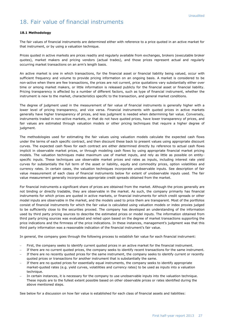### 18. Fair value of financial instruments

#### **18.1 Methodology**

The fair values of financial instruments are determined either with reference to a price quoted in an active market for that instrument, or by using a valuation technique.

Prices quoted in active markets are prices readily and regularly available from exchanges, brokers (executable broker quotes), market makers and pricing vendors (actual trades), and those prices represent actual and regularly occurring market transactions on an arm's length basis.

An active market is one in which transactions, for the financial asset or financial liability being valued, occur with sufficient frequency and volume to provide pricing information on an ongoing basis. A market is considered to be non-active when there are few transactions, the prices are not current, price quotations vary substantially either over time or among market makers, or little information is released publicly for the financial asset or financial liability. Pricing transparency is affected by a number of different factors, such as type of financial instrument, whether the instrument is new to the market, characteristics specific to the transaction, and general market conditions.

The degree of judgment used in the measurement of fair value of financial instruments is generally higher with a lower level of pricing transparency, and vice versa. Financial instruments with quoted prices in active markets generally have higher transparency of prices, and less judgment is needed when determining fair value. Conversely, instruments traded in non-active markets, or that do not have quoted prices, have lower transparency of prices, and fair values are estimated through valuation models or other pricing techniques that require a higher degree of judgment.

The methodologies used for estimating the fair values using valuation models calculate the expected cash flows under the terms of each specific contract, and then discount these back to present values using appropriate discount curves. The expected cash flows for each contract are either determined directly by reference to actual cash flows implicit in observable market prices, or through modeling cash flows by using appropriate financial market pricing models. The valuation techniques make maximum use of market inputs, and rely as little as possible on entityspecific inputs. These techniques use observable market prices and rates as inputs, including interest rate yield curves for substantially the full term of the asset or liability, equity and commodity prices, option volatilities and currency rates. In certain cases, the valuation techniques incorporate unobservable inputs. See description of fair value measurement of each class of financial instruments below for extent of unobservable inputs used. The fair value measurement generally incorporates appropriate credit spreads obtained from the market.

For financial instruments a significant share of prices are obtained from the market. Although the prices generally are not binding or directly tradable, they are observable in the market. As such, the company primarily has financial instruments for which prices are quoted in active markets, or financial instruments for which credit spreads or other model inputs are observable in the market, and the models used to price them are transparent. Most of the portfolios consist of financial instruments for which the fair value is calculated using valuation models or index proxies judged to be sufficiently close to the securities proxied. The company has developed an understanding of the information used by third party pricing sources to describe the estimated prices or model inputs. The information obtained from third party pricing sources was evaluated and relied upon based on the degree of market transactions supporting the price indications and the firmness of the price indications. In these instances, management's judgment was that this third party information was a reasonable indication of the financial instrument's fair value.

In general, the company goes through the following process to establish fair value for each financial instrument:

- First, the company seeks to identify current quoted prices in an active market for the financial instrument.
- If there are no current quoted prices, the company seeks to identify recent transactions for the same instrument. If there are no recently quoted prices for the same instrument, the company seeks to identify current or recently
- quoted prices or transactions for another instrument that is substantially the same.
- If there are no quoted prices for essentially equal instruments, the company seeks to identify appropriate market-quoted rates (e.g. yield curves, volatilities and currency rates) to be used as inputs into a valuation technique.
- In certain instances, it is necessary for the company to use unobservable inputs into the valuation technique. These inputs are to the fullest extent possible based on other observable prices or rates identified during the above mentioned steps.

See below for a discussion on how fair value is established for each class of financial assets and liabilities: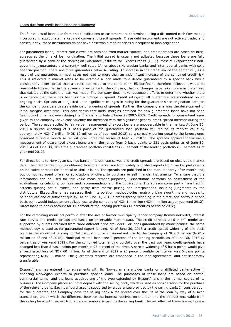Loans due from credit institutions or customers:

The fair values of loans due from credit institutions or customers are determined using a discounted cash flow model, incorporating appropriate market yield curves and credit spreads. These debt instruments are not actively traded and consequently, these instruments do not have observable market prices subsequent to loan origination.

For guaranteed loans, interest rate curves are obtained from market sources, and credit spreads are based on initial spreads at the time of loan origination. The initial spread is usually not adjusted because these loans are fully guaranteed by a bank or the Norwegian Guarantee Institute for Export Credits (GIEK). Most of Eksportfinans' nongovernment guarantors are currently well rated (A- or above) Norwegian banks and international banks with solid financial position. There are three guarantors below A- rating. An increase in the credit risk of the debtor will, as a result of the guarantee, in most cases not lead to more than an insignificant increase of the combined credit risk. This is reflected in market rates so for example a loan made to a debtor guaranteed by a specific bank has a considerably lower spread than a direct loan made to the same bank. Eksportfinans therefore believes it would be reasonable to assume, in the absence of evidence to the contrary, that no changes have taken place in the spread that existed at the date the loan was made. The company does make reasonable efforts to determine whether there is evidence that there has been such a change in spread. Credit ratings of all guarantors are monitored on an ongoing basis. Spreads are adjusted upon significant changes in rating for the guarantor since origination date, as the company considers this as evidence of widening of spreads. Further, the company analyses the development of initial margins over time. This data shows that initial margins obtained for new guaranteed loans have not been functions of time, not even during the financially turbulent times in 2007-2009. Credit spreads for guaranteed loans given by the company, have consequently not increased with the significant general credit spread increase during the period. The spreads applied to fair value measurement of export loans are unobservable in the market. At June 30, 2013 a spread widening of 1 basis point of the guaranteed loan portfolio will reduce its market value by approximately NOK 7 million (NOK 10 million as of year-end 2012) so a spread widening equal to the largest ones observed during a month so far will give unrealized losses of NOK 28 million. The spreads applied for fair value measurement of guaranteed export loans are in the range from 0 basis points to 231 basis points as of June 30, 2013. As of June 30, 2013 the guaranteed portfolio constitutes 65 percent of the lending portfolio (68 percent as of year-end 2012).

For direct loans to Norwegian savings banks, interest rate curves and credit spreads are based on observable market data. The credit spread curves obtained from the market are from widely published reports from market participants on indicative spreads for identical or similar loans. The spreads are published in the market shortly after month end, but do not represent offers, or solicitations of offers, to purchase or sell financial instruments. To ensure that the information can be used for fair value measurement purposes, Eksportfinans performs an assessment of the evaluations, calculations, opinions and recommendations of the publications. The spreads come partly from trading screens quoting actual trades, and partly from matrix pricing and interpolations including judgments by the distributors. Eksportfinans has assessed their interpolation methodologies, matrix pricing algorithms and models to be adequate and of sufficient quality. As of June 30, 2013 a credit spread widening in the direct loan portfolio of one basis point would induce an unrealized loss to the company of NOK 1.4 million (NOK 4 million as per year-end 2012). Direct loans to banks account for 14 percent of the lending portfolio (14 percent as of end of 2012).

For the remaining municipal portfolio after the sale of former municipality lender company Kommunekreditt, interest rate curves and credit spreads are based on observable market data. The credit spreads used in the model are supported by quotes obtained from three different price providers. For loans guaranteed by municipalities, the same methodology is used as for guaranteed export lending. As of June 30, 2013 a credit spread widening of one basis point in the municipal lending portfolio would induce an unrealized loss to the company of NOK 2 million (NOK 2 million as of end of 2012). Municipal related loans are 9 percent of the lending portfolio as of June 30, 2013 (7 percent as of year-end 2012). For the combined total lending portfolio over the past two years credit spreads have changed less than 5 basis points per month in 95 percent of the time. A spread widening of 5 basis points would give an estimated loss of NOK 60 million. As of the end of 2012 a 95 percent confidence interval was 6 basis points representing NOK 90 million. The guarantees received are embedded in the loan agreements, and not separately transferable.

Eksportfinans has entered into agreements with its Norwegian shareholder banks or unaffiliated banks active in financing Norwegian exports to purchase specific loans. The purchases of these loans are based on normal commercial terms, and the loans acquired are of the type extended by Eksportfinans in the normal course of its business. The Company places an initial deposit with the selling bank, which is used as consideration for the purchase of the relevant loans. Each loan purchased is supported by a guarantee provided by the selling bank. In consideration for the guarantee, the Company pays the selling bank a fee spread over the life of the loan by way of a swap transaction, under which the difference between the interest received on the loan and the interest receivable from the selling bank with respect to the deposit amount is paid to the selling bank. The net effect of these transactions is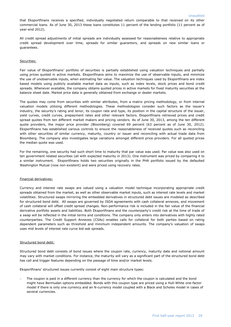that Eksportfinans receives a specified, individually negotiated return comparable to that received on its other commercial loans. As of June 30, 2013 these loans constitutes 11 percent of the lending portfolio (11 percent as of year-end 2012).

All credit spread adjustments of initial spreads are individually assessed for reasonableness relative to appropriate credit spread development over time, spreads for similar guarantors, and spreads on new similar loans or guarantees.

#### Securities:

Fair value of Eksportfinans' portfolio of securities is partially established using valuation techniques and partially using prices quoted in active markets. Eksportfinans aims to maximize the use of observable inputs, and minimize the use of unobservable inputs, when estimating fair value. The valuation techniques used by Eksportfinans are index based models using publicly available market data as inputs, such as index levels, stock prices and bond credit spreads. Whenever available, the company obtains quoted prices in active markets for fixed maturity securities at the balance sheet date. Market price data is generally obtained from exchange or dealer markets.

The quotes may come from securities with similar attributes, from a matrix pricing methodology, or from internal valuation models utilizing different methodologies. These methodologies consider such factors as the issuer's industry, the security's rating and tenor, its coupon rate and type, its position in the capital structure of the issuer, yield curves, credit curves, prepayment rates and other relevant factors. Eksportfinans retrieved prices and credit spread quotes from ten different market makers and pricing vendors. As of June 30, 2013, among the ten different quote providers, the major price provider (Bloomberg) covered 69 percent (63 percent as of June 30, 2012). Eksportfinans has established various controls to ensure the reasonableness of received quotes such as reconciling with other securities of similar currency, maturity, country or issuer and reconciling with actual trade data from Bloomberg. The company also investigates large variations amongst different price providers. For all quoted prices the median quote was used.

For the remaining, one security had such short time to maturity that par value was used. Par value was also used on ten government related securities (all with expected maturity in 2013). One instrument was priced by comparing it to a similar instrument. Eksportfinans holds two securities originally in the PHA portfolio issued by the defaulted Washington Mutual (now non-existent) and were priced using recovery rates.

#### Financial derivatives:

Currency and interest rate swaps are valued using a valuation model technique incorporating appropriate credit spreads obtained from the market, as well as other observable market inputs, such as interest rate levels and market volatilities. Structured swaps mirroring the embedded derivatives in structured debt issues are modeled as described for structured bond debt. All swaps are governed by ISDA agreements with cash collateral annexes, and movement of cash collateral will offset credit spread changes. Non-performance risk is included in the fair value of the financial derivative portfolio assets and liabilities. Both Eksportfinans and the counterparty's credit risk at the time of trade of a swap will be reflected in the initial terms and conditions. The company only enters into derivatives with highly rated counterparties. The Credit Support Annexes (CSAs) enables calls for collateral for both parties based on rating dependent parameters such as threshold and minimum independent amounts. The company's valuation of swaps uses mid levels of interest rate curve bid-ask spreads.

#### Structured bond debt:

Structured bond debt consists of bond issues where the coupon rate, currency, maturity date and notional amount may vary with market conditions. For instance, the maturity will vary as a significant part of the structured bond debt has call and trigger features depending on the passage of time and/or market levels.

Eksportfinans' structured issues currently consist of eight main structure types:

 The coupon is paid in a different currency than the currency for which the coupon is calculated and the bond might have Bermudan options embedded. Bonds with this coupon type are priced using a Hull-White one-factor model if there is only one currency and an N-currency model coupled with a Black and Scholes model in cases of several currencies.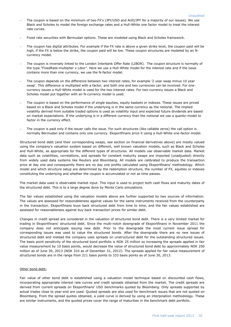- The coupon is based on the minimum of two FX's (JPY/USD and AUD/JPY for a majority of our issues). We use Black and Scholes to model the foreign exchange rates and a Hull-White one factor model to treat the interest rate curves.
- Fixed rate securities with Bermudan options. These are modeled using Black and Scholes framework.
- The coupon has digital attributes. For example if the FX rate is above a given strike level, the coupon paid will be high, if the FX is below the strike, the coupon paid will be low. These coupon structures are modeled by an Ncurrency model.
- The coupon is inversely linked to the London Interbank Offer Rate (LIBOR). The coupon structure is normally of the type "FixedRate-multiplier x Libor". Here we use a Hull-White model for the interest rate and if the issue contains more than one currency, we use the N-factor model.
- The coupon depends on the difference between two interest rates, for example '2 year swap minus 10 year swap'. This difference is multiplied with a factor, and both one and two currencies can be involved. For onecurrency issues a Hull-White model is used for the two interest rates. For two-currency issues a Black and Scholes model put together with an N-currency model is used.
- The coupon is based on the performance of single equities, equity baskets or indexes. These issues are priced based on a Black and Scholes model if the underlying is in the same currency as the notional. The implied volatility derived from suitable traded options is used as volatility input and expected future dividends are based on market expectations. If the underlying is in a different currency than the notional we use a quanto-model to factor in the currency effect.
- The coupon is paid only if the issuer calls the issue. For such structures (like callable zeros) the call option is normally Bermudan and contains only one currency. Eksportfinans price it using a Hull-White one-factor model.

Structured bond debt (and their corresponding swaps, see section on financial derivatives above) are mostly valued using the company's valuation system based on different, well known valuation models, such as Black and Scholes and Hull-White, as appropriate for the different types of structures. All models use observable market data. Market data such as volatilities, correlations, and spreads for constant maturity swaps are imported (unadjusted) directly from widely used data systems like Reuters and Bloomberg. All models are calibrated to produce the transaction price at day one and consequently there are no day one profits calculated using Eksportfinans' methodology. Which model and which structure setup are determined by the redemption structure, the number of FX, equities or indexes constituting the underlying and whether the coupon is accumulated or not as time passes.

The market data used is observable market input. This input is used to project both cash flows and maturity dates of the structured debt. This is to a large degree done by Monte Carlo simulations.

The fair values established using the valuation models above are further supported by two sources of information. The values are assessed for reasonableness against values for the same instruments received from the counterparty in the transaction. Eksportfinans buys back structured debt from time to time, and the fair values established are assessed for reasonableness against buy back transaction prices for similar debt.

Changes in credit spread are considered in the valuation of structured bond debt. There is a very limited market for trading in Eksportfinans' structured debt. Since the multi-notch downgrade of Eksportfinans in November 2011 the company does not anticipate issuing new debt. Prior to the downgrade the most current issue spread for corresponding issues was used to value the structured bonds. After the downgrade there are no new issues of structured debt and instead the company uses spreads on unstructured debt for the outstanding structured issues. The basis point sensitivity of the structured bond portfolio is NOK 25 million so increasing the spreads applied in fair value measurement by 10 basis points, would decrease the value of structured bond debt by approximately NOK 250 million as of June 30, 2013 (NOK 310 as of December 31, 2012). The spreads applied for fair value measurement of structured bonds are in the range from 211 basis points to 333 basis points as of June 30, 2013.

#### Other bond debt:

Fair value of other bond debt is established using a valuation model technique based on discounted cash flows, incorporating appropriate interest rate curves and credit spreads obtained from the market. The credit spreads are derived from current spreads on Eksportfinans' USD benchmarks quoted by Bloomberg. Only spreads supported by actual trades close to year-end are used. Quoted spreads are also used for benchmark issues that are not quoted on Bloomberg. From the spread quotes obtained, a yield curve is derived by using an interpolation methodology. These are similar instruments, and the quoted prices cover the range of maturities in the benchmark debt portfolio.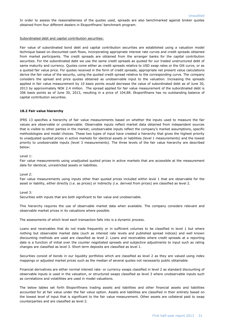In order to assess the reasonableness of the quotes used, spreads are also benchmarked against broker quotes obtained from four different dealers in Eksportfinans' benchmark program.

#### Subordinated debt and capital contribution securities:

Fair value of subordinated bond debt and capital contribution securities are established using a valuation model technique based on discounted cash flows, incorporating appropriate interest rate curves and credit spreads obtained from market participants. The credit spreads are obtained from the arranger banks for the capital contribution securities. For the subordinated debt we use the same credit spreads as quoted for our traded unstructured debt of same maturity and currency. Quotes come either as credit spreads relative to USD swap rates or the Gilt curve, or as a quoted fair value price. For quotes received in the form of credit spreads, appropriate net present value calculations derive the fair value of the security, using the quoted credit spread relative to the corresponding curve. The company considers the spread and price quotes obtained as unobservable input to the valuation. Increasing the spreads applied in fair value measurement by 10 basis points would decrease the value of subordinated debt as of June 30, 2013 by approximately NOK 2.4 million. The spread applied for fair value measurement of the subordinated debt is 306 basis points as of June 30, 2013, resulting in a price of 104,88. Eksportfinans has no outstanding balance of capital contribution securities.

#### **18.2 Fair value hierarchy**

IFRS 13 specifies a hierarchy of fair value measurements based on whether the inputs used to measure the fair values are observable or unobservable. Observable inputs reflect market data obtained from independent sources that is visible to other parties in the market; unobservable inputs reflect the company's market assumptions, specific methodologies and model choices. These two types of input have created a hierarchy that gives the highest priority to unadjusted quoted prices in active markets for identical assets or liabilities (level 1 measurements) and the lowest priority to unobservable inputs (level 3 measurements). The three levels of the fair value hierarchy are described below:

Level 1:

Fair value measurements using unadjusted quoted prices in active markets that are accessible at the measurement date for identical, unrestricted assets or liabilities.

#### Level 2:

Fair value measurements using inputs other than quoted prices included within level 1 that are observable for the asset or liability, either directly (i.e. as prices) or indirectly (i.e. derived from prices) are classified as level 2.

#### Level 3:

Securities with inputs that are both significant to fair value and unobservable.

This hierarchy requires the use of observable market data when available. The company considers relevant and observable market prices in its valuations where possible.

The assessments of which level each transaction falls into is a dynamic process.

Loans and receivables that do not trade frequently or in sufficient volumes to be classified in level 1 but where nothing but observable market data (such as interest rate levels and published spread indices) and well known discounting methods are used are classified as level 2. Loans and receivables where credit spreads at a reporting date is a function of initial over the counter negotiated spreads and subjective adjustments to input such as rating changes are classified as level 3. Short term deposits are classified as level 1.

Securities consist of bonds in our liquidity portfolios which are classified as level 2 as they are valued using index mappings or adjusted market prices such as the median of several quotes not necessarily public obtainable.

Financial derivatives are either normal interest rate- or currency swaps classified in level 2 as standard discounting of observable inputs is used in the valuation, or structured swaps classified as level 3 where unobservable inputs such as correlations and volatilities are used in model valuations.

The below tables set forth Eksportfinans trading assets and liabilities and other financial assets and liabilities accounted for at fair value under the fair value option. Assets and liabilities are classified in their entirety based on the lowest level of input that is significant to the fair value measurement. Other assets are collateral paid to swap counterparties and are classified as level 2.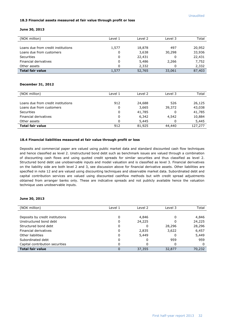#### **18.3 Financial assets measured at fair value through profit or loss**

#### **June 30, 2013**

| (NOK million)                      | Level 1 | Level 2 | Level 3 | Total  |
|------------------------------------|---------|---------|---------|--------|
|                                    |         |         |         |        |
| Loans due from credit institutions | 1,577   | 18,878  | 497     | 20,952 |
| Loans due from customers           | 0       | 3,638   | 30,298  | 33,936 |
| <b>Securities</b>                  | 0       | 22,431  | 0       | 22,431 |
| Financial derivatives              | 0       | 5,486   | 2,266   | 7,752  |
| Other assets                       | 0       | 2,332   | 0       | 2,332  |
| <b>Total fair value</b>            | 1,577   | 52,765  | 33,061  | 87,403 |

#### **December 31, 2012**

| (NOK million)                      | Level 1 | Level 2 | Level 3 | Total   |
|------------------------------------|---------|---------|---------|---------|
|                                    |         |         |         |         |
| Loans due from credit institutions | 912     | 24,688  | 526     | 26,125  |
| Loans due from customers           | 0       | 3,665   | 39,372  | 43,038  |
| <b>Securities</b>                  | 0       | 41,785  | 0       | 41,785  |
| Financial derivatives              | 0       | 6,342   | 4,542   | 10,884  |
| Other assets                       | 0       | 5,445   | 0       | 5,445   |
| <b>Total fair value</b>            | 912     | 81,925  | 44,440  | 127,277 |

#### **18.4 Financial liabilities measured at fair value through profit or loss**

Deposits and commercial paper are valued using public market data and standard discounted cash flow techniques and hence classified as level 2. Unstructured bond debt such as benchmark issues are valued through a combination of discounting cash flows and using quoted credit spreads for similar securities and thus classified as level 2. Structured bond debt use unobservable inputs and model valuation and is classified as level 3. Financial derivatives on the liability side are both level 2 and 3, see discussion above for financial derivative assets. Other liabilities are specified in note 12 and are valued using discounting techniques and observable market data. Subordinated debt and capital contribution services are valued using discounted cashflow methods but with credit spread adjustments obtained from arranger banks only. These are indicative spreads and not publicly available hence the valuation technique uses unobservable inputs.

#### **June 30, 2013**

I

| (NOK million)                   | Level 1 | Level 2 | Level 3 | Total  |
|---------------------------------|---------|---------|---------|--------|
|                                 |         |         |         |        |
| Deposits by credit institutions | 0       | 4,846   |         | 4,846  |
| Unstructured bond debt          | 0       | 24,225  |         | 24,225 |
| Structured bond debt            | 0       | 0       | 28,296  | 28,296 |
| Financial derivatives           | 0       | 2,835   | 3,622   | 6,457  |
| Other liabilities               | 0       | 5,449   |         | 5,449  |
| Subordinated debt               | 0       |         | 959     | 959    |
| Capital contribution securities | 0       | 0       | 0       | 0      |
| <b>Total fair value</b>         | 0       | 37,355  | 32,877  | 70,232 |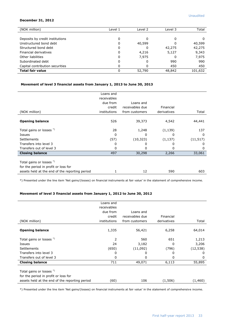#### **December 31, 2012**

| (NOK million)                   | Level 1 | Level 2 | Level 3 | Total   |
|---------------------------------|---------|---------|---------|---------|
|                                 |         |         |         |         |
| Deposits by credit institutions | 0       |         | 0       | 0       |
| Unstructured bond debt          | 0       | 40,599  | 0       | 40,599  |
| Structured bond debt            | 0       |         | 42,275  | 42,275  |
| Financial derivatives           | 0       | 4,216   | 5,127   | 9,343   |
| Other liabilities               | 0       | 7,975   | 0       | 7,975   |
| Subordinated debt               | 0       |         | 990     | 990     |
| Capital contribution securities | 0       |         | 450     | 450     |
| <b>Total fair value</b>         | 0       | 52,790  | 48,842  | 101,632 |

#### **Movement of level 3 financial assets from January 1, 2013 to June 30, 2013**

|                                                                                                                    | Loans and    |                 |             |              |
|--------------------------------------------------------------------------------------------------------------------|--------------|-----------------|-------------|--------------|
|                                                                                                                    | receivables  |                 |             |              |
|                                                                                                                    | due from     | Loans and       |             |              |
|                                                                                                                    | credit       | receivables due | Financial   |              |
| (NOK million)                                                                                                      | institutions | from customers  | derivatives | Total        |
| <b>Opening balance</b>                                                                                             | 526          | 39,373          | 4,542       | 44,441       |
| Total gains or losses *)                                                                                           | 28           | 1,248           | (1, 139)    | 137          |
| Issues                                                                                                             | 0            | $\Omega$        | 0           | <sup>0</sup> |
| <b>Settlements</b>                                                                                                 | (57)         | (10, 323)       | (1, 137)    | (11, 517)    |
| Transfers into level 3                                                                                             | 0            | 0               |             | $\mathbf{0}$ |
| Transfers out of level 3                                                                                           | 0            | O               | 0           | 0            |
| <b>Closing balance</b>                                                                                             | 497          | 30,298          | 2,266       | 33,061       |
| Total gains or losses *)<br>for the period in profit or loss for<br>assets held at the end of the reporting period |              | 12              | 590         | 603          |

\*) Presented under the line item 'Net gains/(losses) on financial instruments at fair value' in the statement of comprehensive income.

#### **Movement of level 3 financial assets from January 1, 2012 to June 30, 2012**

|                                                | Loans and    |                 |             |           |
|------------------------------------------------|--------------|-----------------|-------------|-----------|
|                                                | receivables  |                 |             |           |
|                                                | due from     | Loans and       |             |           |
|                                                | credit       | receivables due | Financial   |           |
| (NOK million)                                  | institutions | from customers  | derivatives | Total     |
|                                                |              |                 |             |           |
| <b>Opening balance</b>                         | 1,335        | 56,421          | 6,258       | 64,014    |
|                                                |              |                 |             |           |
| Total gains or losses *)                       | 2            | 560             | 651         | 1,213     |
| <b>Issues</b>                                  | 24           | 3,182           | 0           | 3,206     |
| <b>Settlements</b>                             | (650)        | (11,092)        | (796)       | (12, 538) |
| Transfers into level 3                         | 0            | 0               | 0           | 0         |
| Transfers out of level 3                       | 0            | 0               | 0           | 0         |
| <b>Closing balance</b>                         | 711          | 49,071          | 6,113       | 55,895    |
|                                                |              |                 |             |           |
| Total gains or losses *)                       |              |                 |             |           |
| for the period in profit or loss for           |              |                 |             |           |
| assets held at the end of the reporting period | (60)         | 106             | (1,506)     | (1,460)   |

\*) Presented under the line item 'Net gains/(losses) on financial instruments at fair value' in the statement of comprehensive income.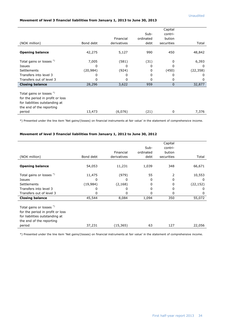#### **Movement of level 3 financial liabilities from January 1, 2013 to June 30, 2013**

|                                  |           |             |           | Capital      |           |
|----------------------------------|-----------|-------------|-----------|--------------|-----------|
|                                  |           |             | Sub-      | contri-      |           |
|                                  |           | Financial   | ordinated | bution       |           |
| (NOK million)                    | Bond debt | derivatives | debt      | securities   | Total     |
|                                  |           |             |           |              |           |
| <b>Opening balance</b>           | 42,275    | 5,127       | 990       | 450          | 48,842    |
| Total gains or losses *)         | 7,005     | (581)       | (31)      | 0            | 6,393     |
| Issues                           | 0         | 0           | 0         | o            | 0         |
| Settlements                      | (20,984)  | (924)       | 0         | (450)        | (22, 358) |
| Transfers into level 3           | 0         | 0           | 0         | 0            | 0         |
| Transfers out of level 3         | 0         | 0           | 0         | 0            | 0         |
| <b>Closing balance</b>           | 28,296    | 3,622       | 959       | $\mathbf{0}$ | 32,877    |
|                                  |           |             |           |              |           |
| Total gains or losses *)         |           |             |           |              |           |
| for the period in profit or loss |           |             |           |              |           |
| for liabilities outstanding at   |           |             |           |              |           |
| the end of the reporting         |           |             |           |              |           |
| period                           | 13,473    | (6,076)     | (21)      | 0            | 7,376     |

\*) Presented under the line item 'Net gains/(losses) on financial instruments at fair value' in the statement of comprehensive income.

#### **Movement of level 3 financial liabilities from January 1, 2012 to June 30, 2012**

|                                                                                                                                                  |           |             |           | Capital    |           |
|--------------------------------------------------------------------------------------------------------------------------------------------------|-----------|-------------|-----------|------------|-----------|
|                                                                                                                                                  |           |             | Sub-      | contri-    |           |
|                                                                                                                                                  |           | Financial   | ordinated | bution     |           |
| (NOK million)                                                                                                                                    | Bond debt | derivatives | debt      | securities | Total     |
| <b>Opening balance</b>                                                                                                                           | 54,053    | 11,231      | 1,039     | 348        | 66,671    |
| Total gains or losses *)                                                                                                                         | 11,475    | (979)       | 55        | 2          | 10,553    |
| Issues                                                                                                                                           | 0         | 0           | 0         | 0          | 0         |
| <b>Settlements</b>                                                                                                                               | (19, 984) | (2, 168)    | 0         | 0          | (22, 152) |
| Transfers into level 3                                                                                                                           | 0         | 0           | 0         | 0          | 0         |
| Transfers out of level 3                                                                                                                         | 0         | 0           | 0         | 0          | 0         |
| <b>Closing balance</b>                                                                                                                           | 45,544    | 8,084       | 1,094     | 350        | 55,072    |
| Total gains or losses <sup>*</sup> )<br>for the period in profit or loss<br>for liabilities outstanding at<br>the end of the reporting<br>period | 37,231    | (15, 365)   | 63        | 127        | 22,056    |

\*) Presented under the line item 'Net gains/(losses) on financial instruments at fair value' in the statement of comprehensive income.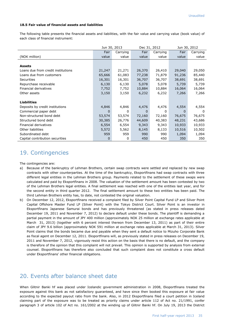#### **18.5 Fair value of financial assets and liabilities**

The following table presents the financial assets and liabilities, with the fair value and carrying value (book value) of each class of financial instrument:

|                                    | Jun 30, 2013 |          | Dec 31, 2012 |          | Jun 30, 2012 |          |
|------------------------------------|--------------|----------|--------------|----------|--------------|----------|
|                                    | Fair         | Carrying | Fair         | Carrying | Fair         | Carrying |
| (NOK million)                      | value        | value    | value        | value    | value        | value    |
|                                    |              |          |              |          |              |          |
| <b>Assets</b>                      |              |          |              |          |              |          |
| Loans due from credit institutions | 21,247       | 21,271   | 26,370       | 26,410   | 29,040       | 29,050   |
| Loans due from customers           | 65,666       | 61,083   | 77,238       | 71,879   | 91,236       | 85,440   |
| Securities                         | 16,301       | 16,301   | 36,707       | 36,707   | 38,691       | 38,691   |
| Repurchase receivable              | 6,130        | 6,130    | 5,078        | 5,078    | 5,739        | 5,739    |
| Financial derivatives              | 7,752        | 7,752    | 10,884       | 10,884   | 16,064       | 16,064   |
| Other assets                       | 3,150        | 3,150    | 6,232        | 6,232    | 7,266        | 7,266    |
|                                    |              |          |              |          |              |          |
| <b>Liabilities</b>                 |              |          |              |          |              |          |
| Deposits by credit institutions    | 4,846        | 4,846    | 4,476        | 4,476    | 4,554        | 4,554    |
| Commercial paper debt              | 0            | 0        | 0            | 0        | 0            | $\Omega$ |
| Non-structured bond debt           | 53,574       | 53,574   | 72,160       | 72,160   | 76,675       | 76,675   |
| Structured bond debt               | 30,385       | 26,776   | 44,609       | 40,383   | 48,231       | 43,686   |
| Financial derivatives              | 6,554        | 6,554    | 9,343        | 9,343    | 10,933       | 10,933   |
| Other liabilities                  | 5,572        | 5,562    | 8,145        | 8,133    | 10,516       | 10,502   |
| Subordinated debt                  | 959          | 959      | 990          | 990      | 1,094        | 1,094    |
| Capital contribution securities    | 0            | 0        | 450          | 450      | 350          | 350      |

### 19. Contingencies

The contingencies are:

- a) Because of the bankruptcy of Lehman Brothers, certain swap contracts were settled and replaced by new swap contracts with other counterparties. At the time of the bankruptcy, Eksportfinans had swap contracts with three different legal entities in the Lehman Brothers group. Payments related to the settlement of these swaps were calculated and paid by Eksportfinans in 2008. The valuation of the settlement amount has been contested by two of the Lehman Brothers legal entities. A final settlement was reached with one of the entities last year, and for the second entity in third quarter 2012. The final settlement amount to these two entities has been paid. The third Lehman Brothers entity has, to date, not contested the original valuation.
- b) On December 12, 2012, Eksportfinans received a complaint filed by Silver Point Capital Fund LP and Silver Point Capital Offshore Master Fund LP (Silver Point) with the Tokyo District Court. Silver Point is an investor in Eksportfinans Japanese Samurai bonds and has previously threatened (as stated in press releases dated December 19, 2011 and November 7, 2012) to declare default under these bonds. The plaintiff is demanding a partial payment in the amount of JPY 400 million (approximately NOK 25 million at exchange rates applicable at March 31, 2013) (together with 6 percent interest thereon from December 13, 2011) as part of their entire claim of JPY 9.6 billion (approximately NOK 591 million at exchange rates applicable at March 31, 2013). Silver Point claims that the bonds became due and payable when they sent a default notice to Mizuho Corporate Bank as fiscal agent on December 12, 2011. Eksportfinans will, as previously stated in press releases on December 19, 2011 and November 7, 2012, vigorously resist this action on the basis that there is no default, and the company is therefore of the opinion that this complaint will not prevail. This opinion is supported by analysis from external counsel. Eksportfinans has therefore also concluded that such complaint does not constitute a cross default under Eksportfinans' other financial obligations.

### 20. Events after balance sheet date

When Glitnir Banki hf was placed under Icelandic government administration in 2008, Eksportfinans treated the exposure against this bank as not satisfactory guaranteed, and have since then booked this exposure at fair value according to the expected payout ratio from the bank. Also, in 2012 Eksportfinans filed a court petition in Iceland claiming part of the exposure was to be treated as priority claims under article 112 of Act no. 21/1991, confer paragraph 3 of article 102 of Act no. 161/2002 at the winding up of Glitnir Banki hf. On July 19, 2013 the District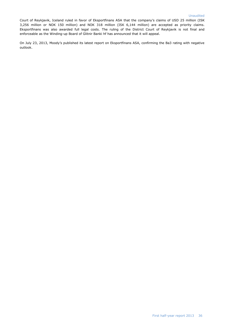Court of Reykjavik, Iceland ruled in favor of Eksportfinans ASA that the company's claims of USD 25 million (ISK 3,256 million or NOK 150 million) and NOK 318 million (ISK 6,144 million) are accepted as priority claims. Eksportfinans was also awarded full legal costs. The ruling of the District Court of Reykjavik is not final and enforceable as the Winding-up Board of Glitnir Banki hf has announced that it will appeal.

On July 23, 2013, Moody's published its latest report on Eksportfinans ASA, confirming the Ba3 rating with negative outlook.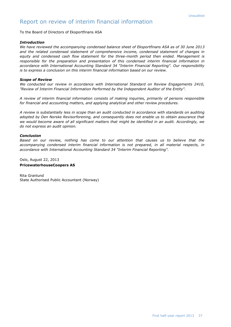### Report on review of interim financial information

To the Board of Directors of Eksportfinans ASA

#### *Introduction*

*We have reviewed the accompanying condensed balance sheet of Eksportfinans ASA as of 30 June 2013 and the related condensed statement of comprehensive income, condensed statement of changes in equity and condensed cash flow statement for the three-month period then ended. Management is responsible for the preparation and presentation of this condensed interim financial information in accordance with International Accounting Standard 34 "Interim Financial Reporting". Our responsibility is to express a conclusion on this interim financial information based on our review.*

#### *Scope of Review*

*We conducted our review in accordance with International Standard on Review Engagements 2410, "Review of Interim Financial Information Performed by the Independent Auditor of the Entity".* 

*A review of interim financial information consists of making inquiries, primarily of persons responsible for financial and accounting matters, and applying analytical and other review procedures.* 

*A review is substantially less in scope than an audit conducted in accordance with standards on auditing adopted by Den Norske Revisorforening, and consequently does not enable us to obtain assurance that we would become aware of all significant matters that might be identified in an audit. Accordingly, we do not express an audit opinion.*

#### *Conclusion*

*Based on our review, nothing has come to our attention that causes us to believe that the accompanying condensed interim financial information is not prepared, in all material respects, in accordance with International Accounting Standard 34 "Interim Financial Reporting".*

Oslo, August 22, 2013 **PricewaterhouseCoopers AS**

Rita Granlund State Authorised Public Accountant (Norway)